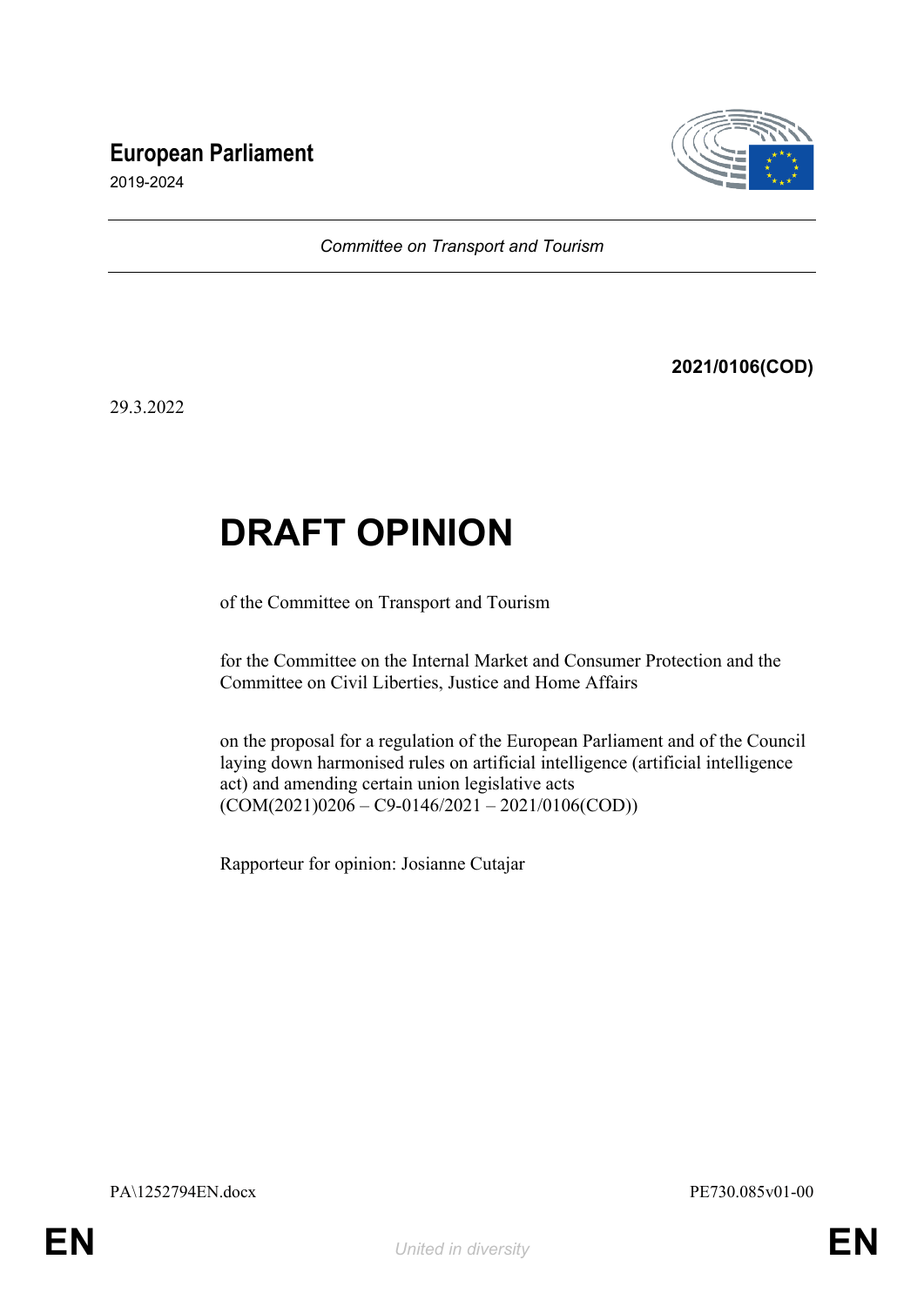## **European Parliament**



2019-2024

*Committee on Transport and Tourism*

**2021/0106(COD)**

29.3.2022

# **DRAFT OPINION**

of the Committee on Transport and Tourism

for the Committee on the Internal Market and Consumer Protection and the Committee on Civil Liberties, Justice and Home Affairs

on the proposal for a regulation of the European Parliament and of the Council laying down harmonised rules on artificial intelligence (artificial intelligence act) and amending certain union legislative acts  $(COM(2021)0206 - C9 - 0146/2021 - 2021/0106(COD))$ 

Rapporteur for opinion: Josianne Cutajar

PA\1252794EN.docx PE730.085v01-00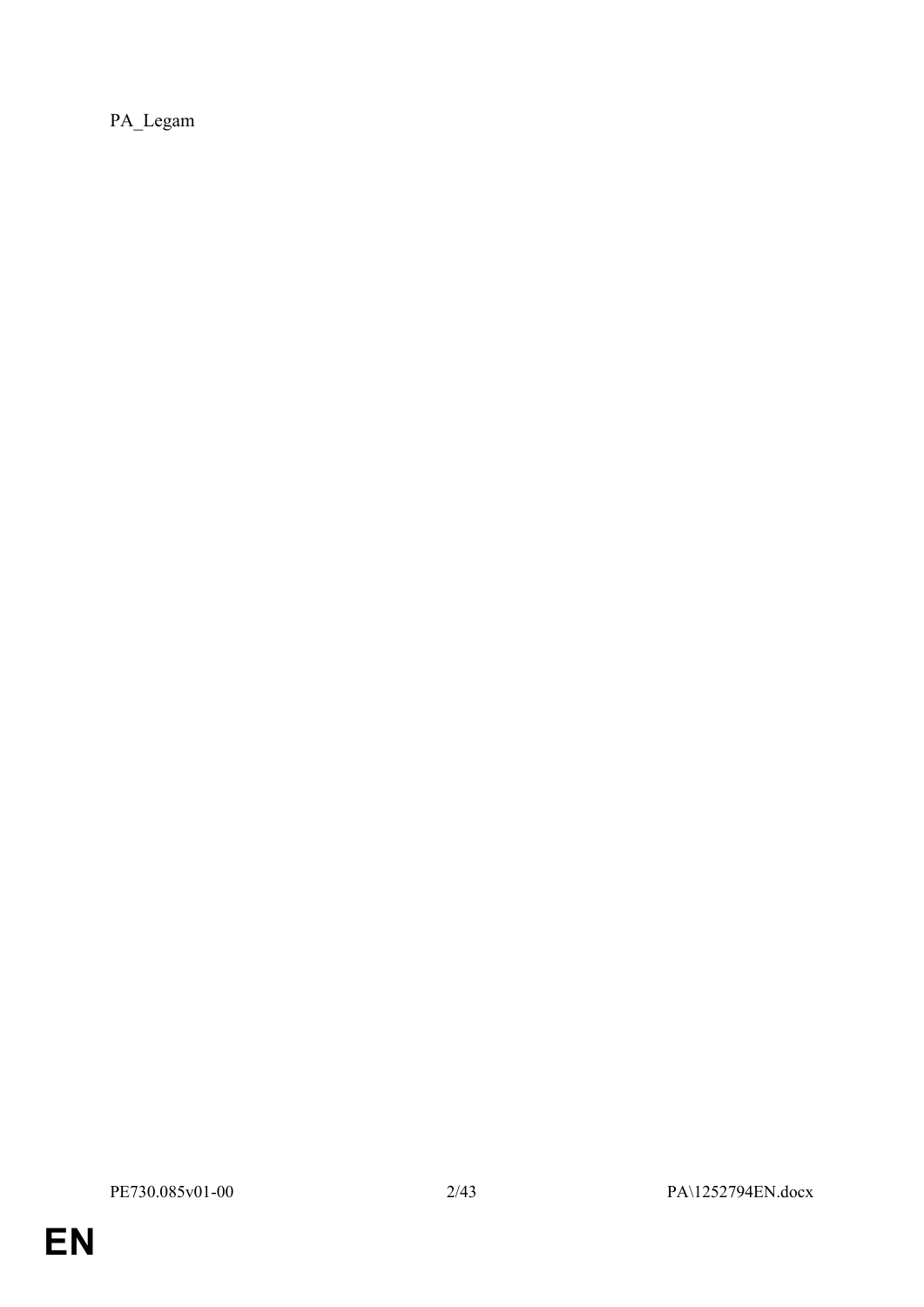PA\_Legam

**EN**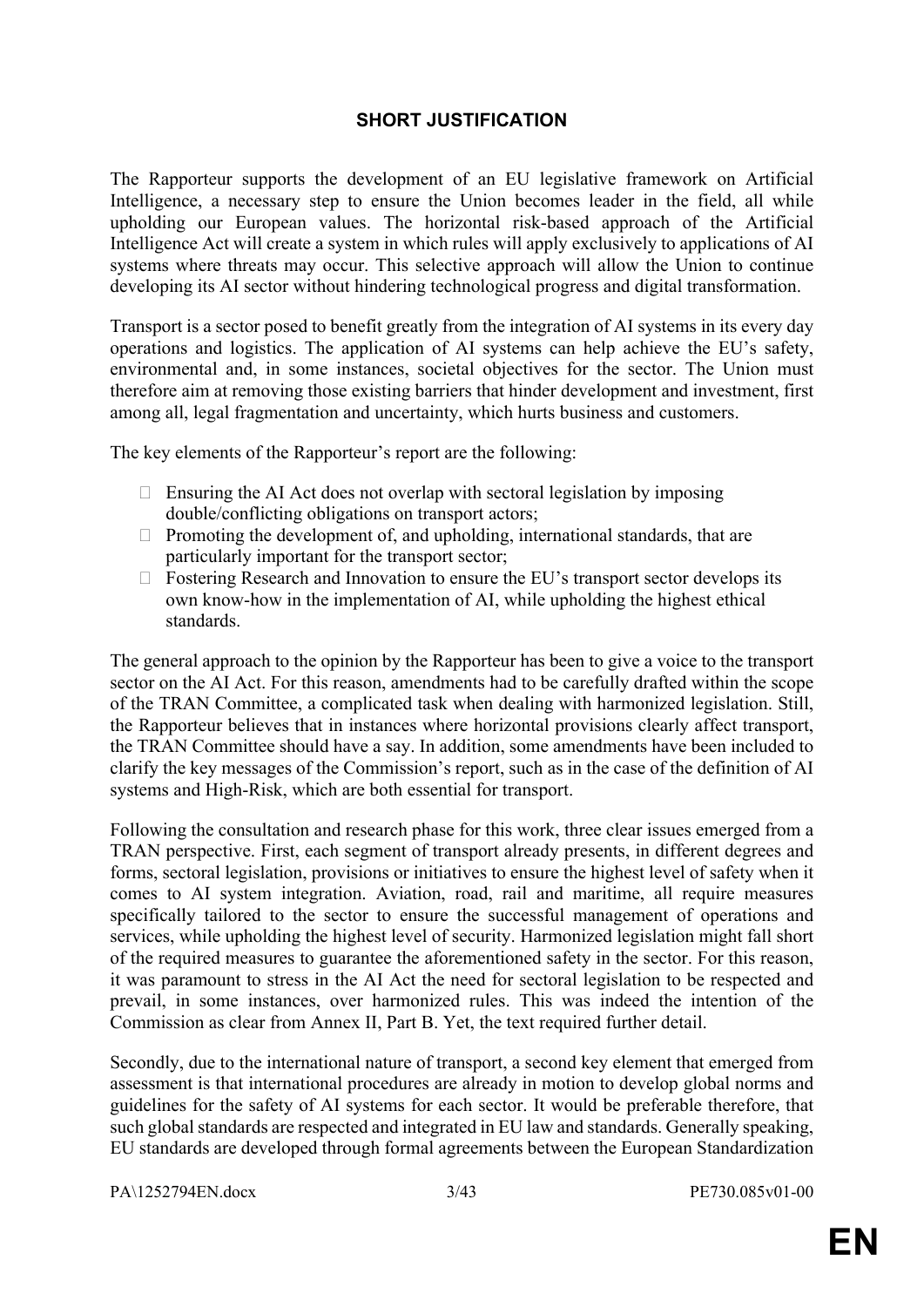### **SHORT JUSTIFICATION**

The Rapporteur supports the development of an EU legislative framework on Artificial Intelligence, a necessary step to ensure the Union becomes leader in the field, all while upholding our European values. The horizontal risk-based approach of the Artificial Intelligence Act will create a system in which rules will apply exclusively to applications of AI systems where threats may occur. This selective approach will allow the Union to continue developing its AI sector without hindering technological progress and digital transformation.

Transport is a sector posed to benefit greatly from the integration of AI systems in its every day operations and logistics. The application of AI systems can help achieve the EU's safety, environmental and, in some instances, societal objectives for the sector. The Union must therefore aim at removing those existing barriers that hinder development and investment, first among all, legal fragmentation and uncertainty, which hurts business and customers.

The key elements of the Rapporteur's report are the following:

- $\Box$  Ensuring the AI Act does not overlap with sectoral legislation by imposing double/conflicting obligations on transport actors;
- $\Box$  Promoting the development of, and upholding, international standards, that are particularly important for the transport sector;
- $\Box$  Fostering Research and Innovation to ensure the EU's transport sector develops its own know-how in the implementation of AI, while upholding the highest ethical standards.

The general approach to the opinion by the Rapporteur has been to give a voice to the transport sector on the AI Act. For this reason, amendments had to be carefully drafted within the scope of the TRAN Committee, a complicated task when dealing with harmonized legislation. Still, the Rapporteur believes that in instances where horizontal provisions clearly affect transport, the TRAN Committee should have a say. In addition, some amendments have been included to clarify the key messages of the Commission's report, such as in the case of the definition of AI systems and High-Risk, which are both essential for transport.

Following the consultation and research phase for this work, three clear issues emerged from a TRAN perspective. First, each segment of transport already presents, in different degrees and forms, sectoral legislation, provisions or initiatives to ensure the highest level of safety when it comes to AI system integration. Aviation, road, rail and maritime, all require measures specifically tailored to the sector to ensure the successful management of operations and services, while upholding the highest level of security. Harmonized legislation might fall short of the required measures to guarantee the aforementioned safety in the sector. For this reason, it was paramount to stress in the AI Act the need for sectoral legislation to be respected and prevail, in some instances, over harmonized rules. This was indeed the intention of the Commission as clear from Annex II, Part B. Yet, the text required further detail.

Secondly, due to the international nature of transport, a second key element that emerged from assessment is that international procedures are already in motion to develop global norms and guidelines for the safety of AI systems for each sector. It would be preferable therefore, that such global standards are respected and integrated in EU law and standards. Generally speaking, EU standards are developed through formal agreements between the European Standardization

PA\1252794EN.docx 3/43 PE730.085v01-00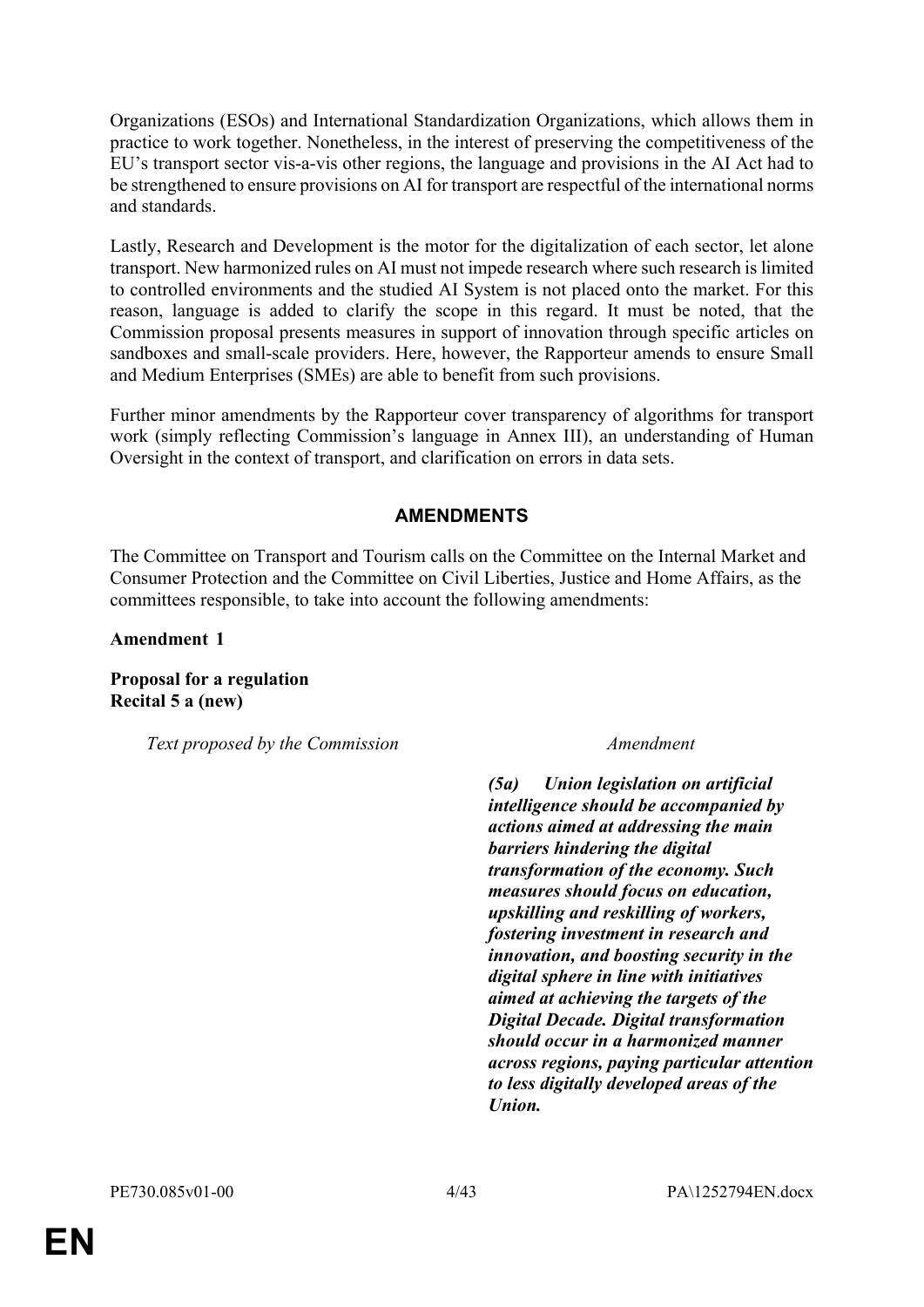Organizations (ESOs) and International Standardization Organizations, which allows them in practice to work together. Nonetheless, in the interest of preserving the competitiveness of the EU's transport sector vis-a-vis other regions, the language and provisions in the AI Act had to be strengthened to ensure provisions on AI for transport are respectful of the international norms and standards.

Lastly, Research and Development is the motor for the digitalization of each sector, let alone transport. New harmonized rules on AI must not impede research where such research is limited to controlled environments and the studied AI System is not placed onto the market. For this reason, language is added to clarify the scope in this regard. It must be noted, that the Commission proposal presents measures in support of innovation through specific articles on sandboxes and small-scale providers. Here, however, the Rapporteur amends to ensure Small and Medium Enterprises (SMEs) are able to benefit from such provisions.

Further minor amendments by the Rapporteur cover transparency of algorithms for transport work (simply reflecting Commission's language in Annex III), an understanding of Human Oversight in the context of transport, and clarification on errors in data sets.

### **AMENDMENTS**

The Committee on Transport and Tourism calls on the Committee on the Internal Market and Consumer Protection and the Committee on Civil Liberties, Justice and Home Affairs, as the committees responsible, to take into account the following amendments:

**Amendment 1**

**Proposal for a regulation Recital 5 a (new)**

*Text proposed by the Commission Amendment*

*(5a) Union legislation on artificial intelligence should be accompanied by actions aimed at addressing the main barriers hindering the digital transformation of the economy. Such measures should focus on education, upskilling and reskilling of workers, fostering investment in research and innovation, and boosting security in the digital sphere in line with initiatives aimed at achieving the targets of the Digital Decade. Digital transformation should occur in a harmonized manner across regions, paying particular attention to less digitally developed areas of the Union.*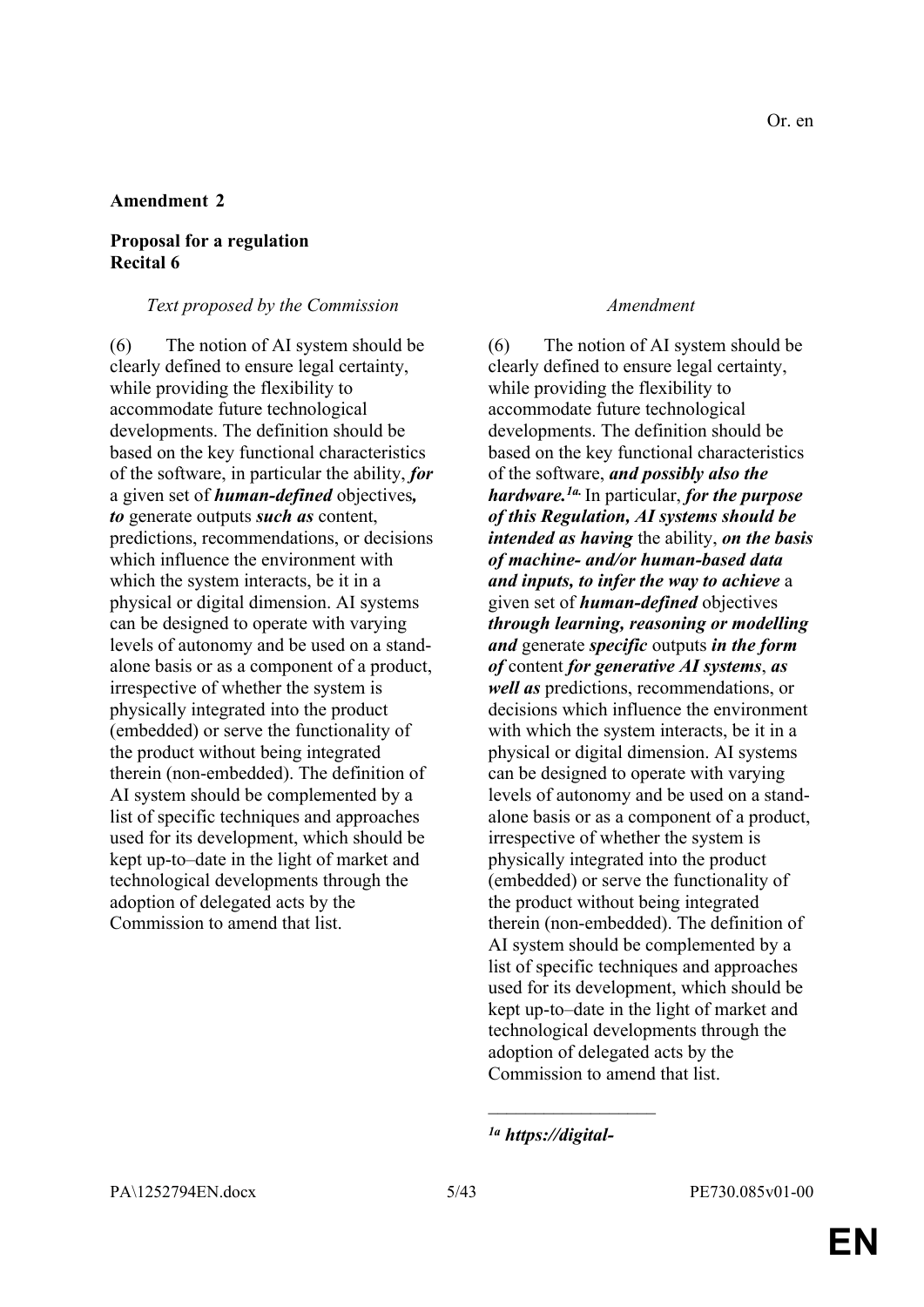### **Proposal for a regulation Recital 6**

#### *Text proposed by the Commission Amendment*

(6) The notion of AI system should be clearly defined to ensure legal certainty, while providing the flexibility to accommodate future technological developments. The definition should be based on the key functional characteristics of the software, in particular the ability, *for* a given set of *human-defined* objectives*, to* generate outputs *such as* content, predictions, recommendations, or decisions which influence the environment with which the system interacts, be it in a physical or digital dimension. AI systems can be designed to operate with varying levels of autonomy and be used on a standalone basis or as a component of a product, irrespective of whether the system is physically integrated into the product (embedded) or serve the functionality of the product without being integrated therein (non-embedded). The definition of AI system should be complemented by a list of specific techniques and approaches used for its development, which should be kept up-to–date in the light of market and technological developments through the adoption of delegated acts by the Commission to amend that list.

(6) The notion of AI system should be clearly defined to ensure legal certainty, while providing the flexibility to accommodate future technological developments. The definition should be based on the key functional characteristics of the software, *and possibly also the hardware.1a.* In particular, *for the purpose of this Regulation, AI systems should be intended as having* the ability, *on the basis of machine- and/or human-based data and inputs, to infer the way to achieve* a given set of *human-defined* objectives *through learning, reasoning or modelling and* generate *specific* outputs *in the form of* content *for generative AI systems*, *as well as* predictions, recommendations, or decisions which influence the environment with which the system interacts, be it in a physical or digital dimension. AI systems can be designed to operate with varying levels of autonomy and be used on a standalone basis or as a component of a product, irrespective of whether the system is physically integrated into the product (embedded) or serve the functionality of the product without being integrated therein (non-embedded). The definition of AI system should be complemented by a list of specific techniques and approaches used for its development, which should be kept up-to–date in the light of market and technological developments through the adoption of delegated acts by the Commission to amend that list.

 $\overline{\phantom{a}}$  , where  $\overline{\phantom{a}}$ 

*<sup>1</sup>a https://digital-*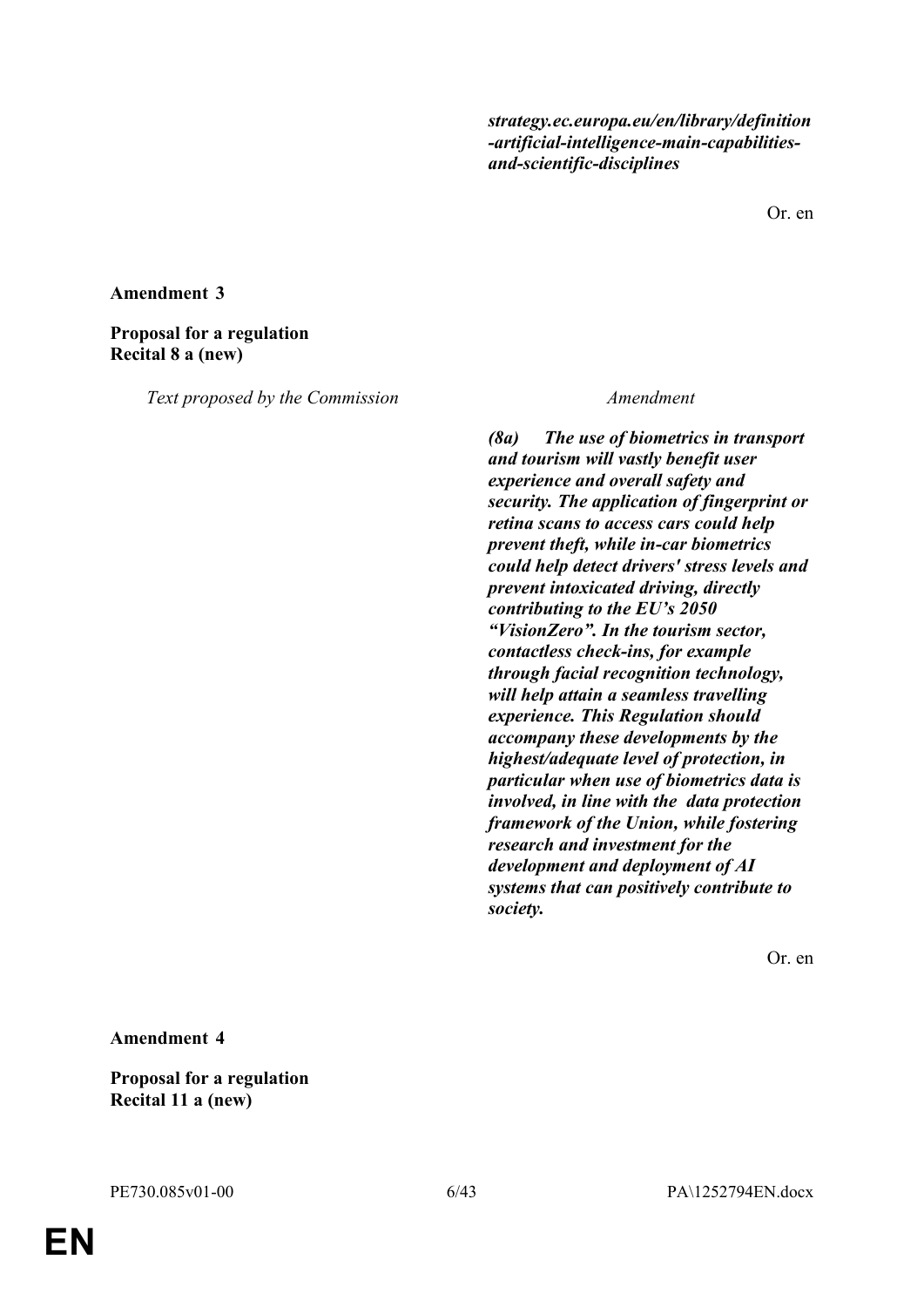*strategy.ec.europa.eu/en/library/definition -artificial-intelligence-main-capabilitiesand-scientific-disciplines*

Or. en

#### **Amendment 3**

#### **Proposal for a regulation Recital 8 a (new)**

*Text proposed by the Commission Amendment*

*(8a) The use of biometrics in transport and tourism will vastly benefit user experience and overall safety and security. The application of fingerprint or retina scans to access cars could help prevent theft, while in-car biometrics could help detect drivers' stress levels and prevent intoxicated driving, directly contributing to the EU's 2050 "VisionZero". In the tourism sector, contactless check-ins, for example through facial recognition technology, will help attain a seamless travelling experience. This Regulation should accompany these developments by the highest/adequate level of protection, in particular when use of biometrics data is involved, in line with the data protection framework of the Union, while fostering research and investment for the development and deployment of AI systems that can positively contribute to society.*

Or. en

#### **Amendment 4**

#### **Proposal for a regulation Recital 11 a (new)**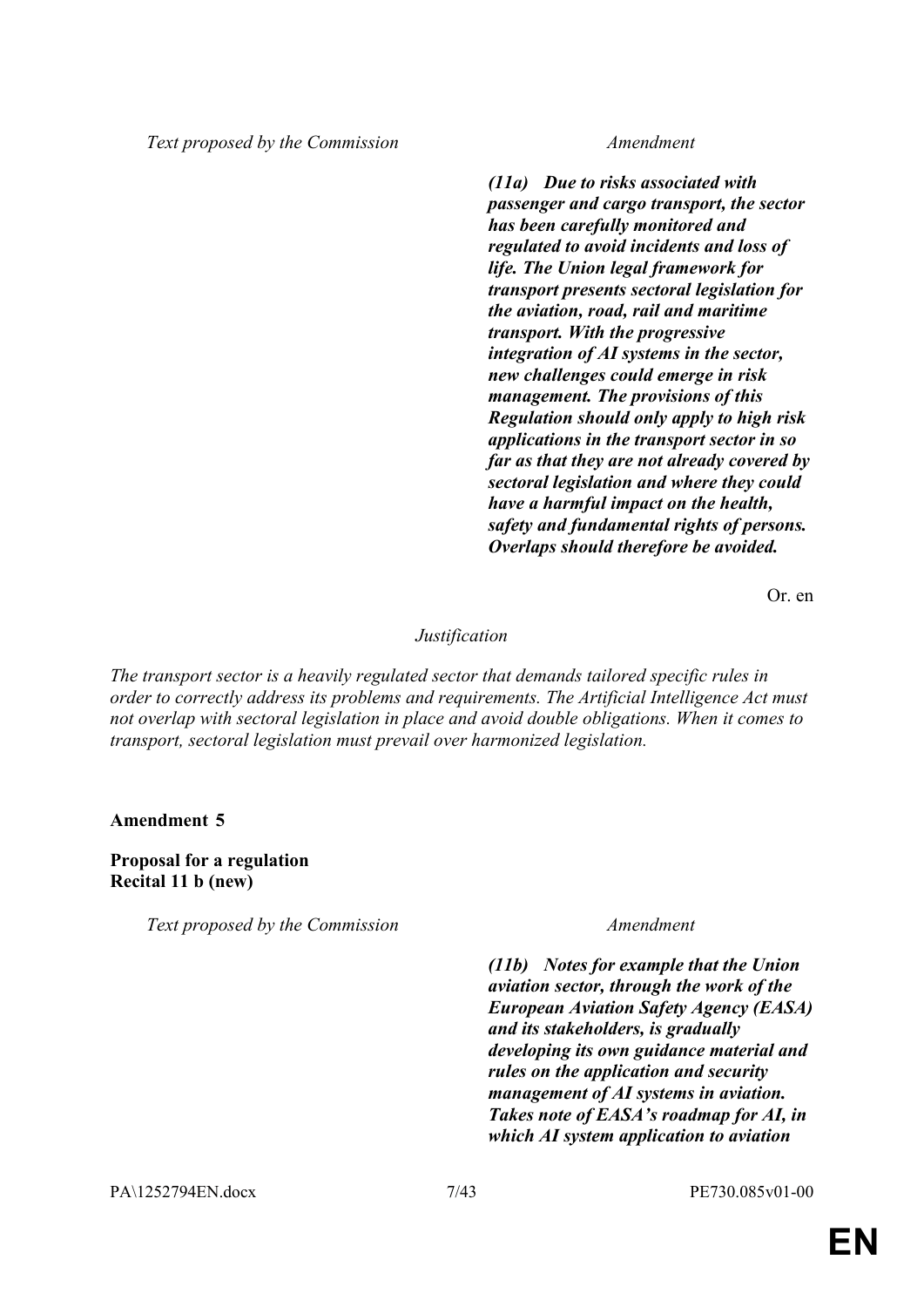*Text proposed by the Commission Amendment*

*(11a) Due to risks associated with passenger and cargo transport, the sector has been carefully monitored and regulated to avoid incidents and loss of life. The Union legal framework for transport presents sectoral legislation for the aviation, road, rail and maritime transport. With the progressive integration of AI systems in the sector, new challenges could emerge in risk management. The provisions of this Regulation should only apply to high risk applications in the transport sector in so far as that they are not already covered by sectoral legislation and where they could have a harmful impact on the health, safety and fundamental rights of persons. Overlaps should therefore be avoided.*

Or. en

#### *Justification*

*The transport sector is a heavily regulated sector that demands tailored specific rules in order to correctly address its problems and requirements. The Artificial Intelligence Act must not overlap with sectoral legislation in place and avoid double obligations. When it comes to transport, sectoral legislation must prevail over harmonized legislation.*

**Amendment 5**

**Proposal for a regulation Recital 11 b (new)**

*Text proposed by the Commission Amendment*

*(11b) Notes for example that the Union aviation sector, through the work of the European Aviation Safety Agency (EASA) and its stakeholders, is gradually developing its own guidance material and rules on the application and security management of AI systems in aviation. Takes note of EASA's roadmap for AI, in which AI system application to aviation*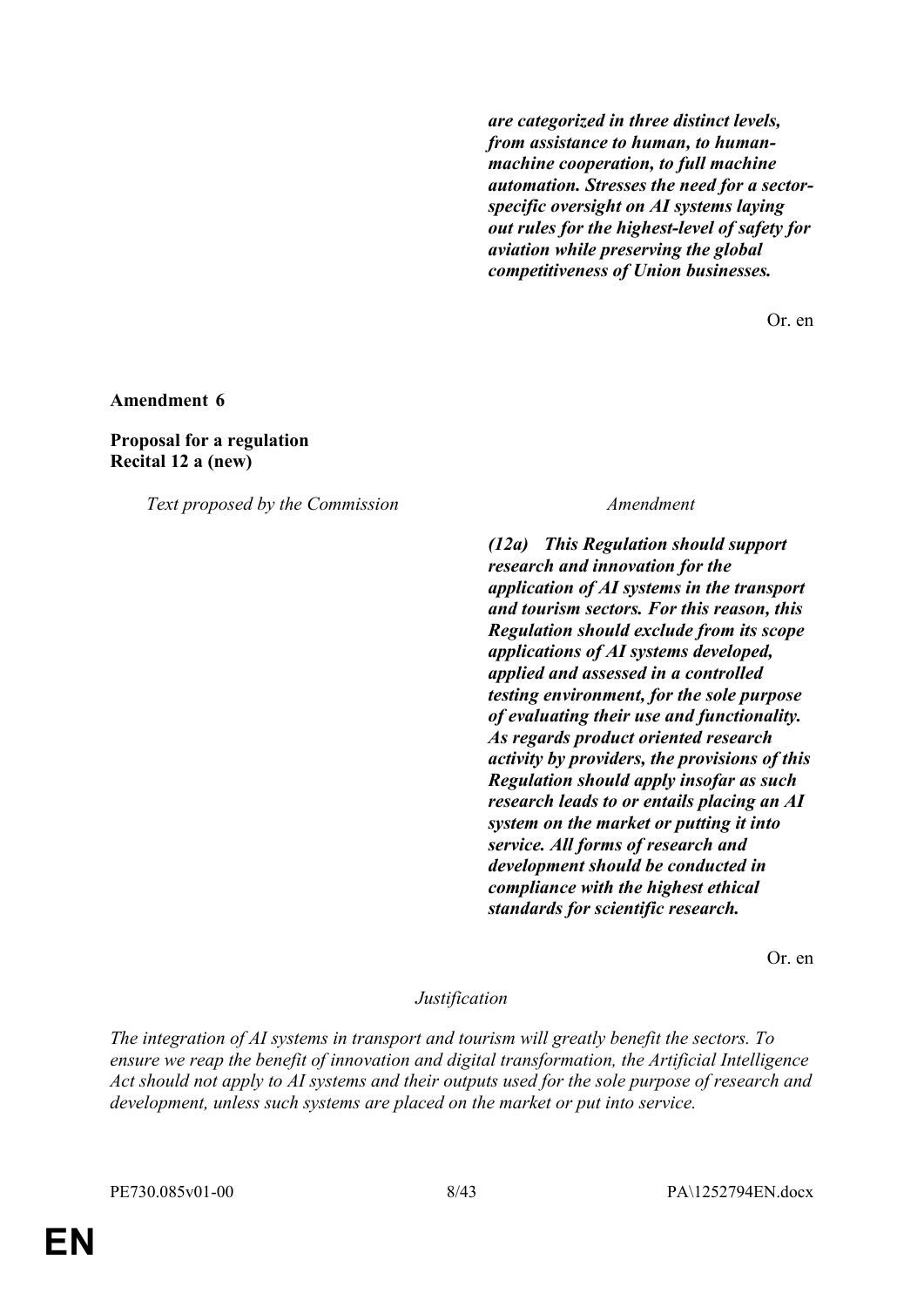*are categorized in three distinct levels, from assistance to human, to humanmachine cooperation, to full machine automation. Stresses the need for a sectorspecific oversight on AI systems laying out rules for the highest-level of safety for aviation while preserving the global competitiveness of Union businesses.*

Or. en

**Amendment 6**

**Proposal for a regulation Recital 12 a (new)**

*Text proposed by the Commission Amendment*

*(12a) This Regulation should support research and innovation for the application of AI systems in the transport and tourism sectors. For this reason, this Regulation should exclude from its scope applications of AI systems developed, applied and assessed in a controlled testing environment, for the sole purpose of evaluating their use and functionality. As regards product oriented research activity by providers, the provisions of this Regulation should apply insofar as such research leads to or entails placing an AI system on the market or putting it into service. All forms of research and development should be conducted in compliance with the highest ethical standards for scientific research.*

Or. en

#### *Justification*

*The integration of AI systems in transport and tourism will greatly benefit the sectors. To ensure we reap the benefit of innovation and digital transformation, the Artificial Intelligence Act should not apply to AI systems and their outputs used for the sole purpose of research and development, unless such systems are placed on the market or put into service.*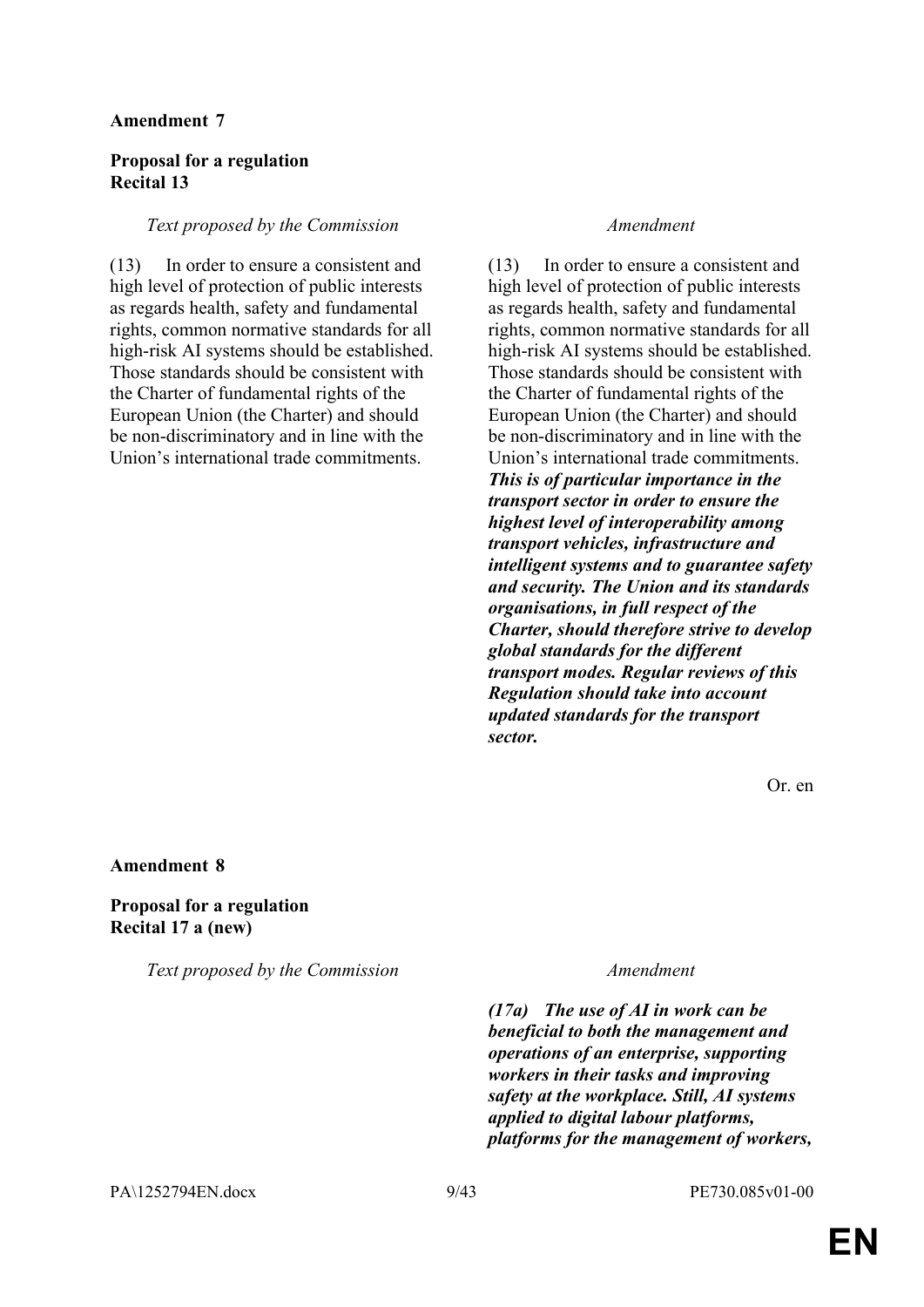### **Proposal for a regulation Recital 13**

#### *Text proposed by the Commission Amendment*

(13) In order to ensure a consistent and high level of protection of public interests as regards health, safety and fundamental rights, common normative standards for all high-risk AI systems should be established. Those standards should be consistent with the Charter of fundamental rights of the European Union (the Charter) and should be non-discriminatory and in line with the Union's international trade commitments.

(13) In order to ensure a consistent and high level of protection of public interests as regards health, safety and fundamental rights, common normative standards for all high-risk AI systems should be established. Those standards should be consistent with the Charter of fundamental rights of the European Union (the Charter) and should be non-discriminatory and in line with the Union's international trade commitments. *This is of particular importance in the transport sector in order to ensure the highest level of interoperability among transport vehicles, infrastructure and intelligent systems and to guarantee safety and security. The Union and its standards organisations, in full respect of the Charter, should therefore strive to develop global standards for the different transport modes. Regular reviews of this Regulation should take into account updated standards for the transport sector.*

Or. en

#### **Amendment 8**

#### **Proposal for a regulation Recital 17 a (new)**

*Text proposed by the Commission Amendment*

*(17a) The use of AI in work can be beneficial to both the management and operations of an enterprise, supporting workers in their tasks and improving safety at the workplace. Still, AI systems applied to digital labour platforms, platforms for the management of workers,*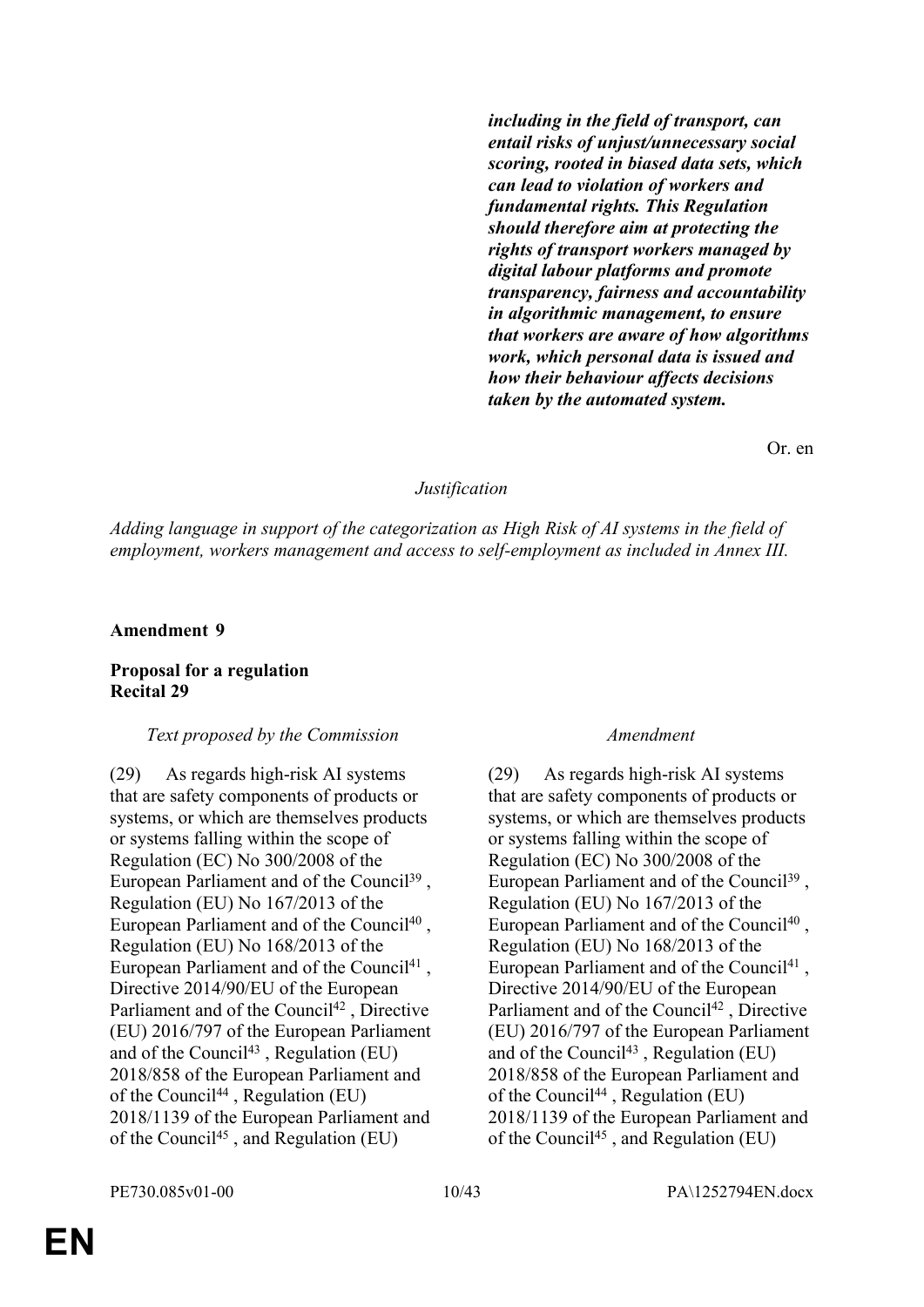*including in the field of transport, can entail risks of unjust/unnecessary social scoring, rooted in biased data sets, which can lead to violation of workers and fundamental rights. This Regulation should therefore aim at protecting the rights of transport workers managed by digital labour platforms and promote transparency, fairness and accountability in algorithmic management, to ensure that workers are aware of how algorithms work, which personal data is issued and how their behaviour affects decisions taken by the automated system.*

Or. en

#### *Justification*

*Adding language in support of the categorization as High Risk of AI systems in the field of employment, workers management and access to self-employment as included in Annex III.*

#### **Amendment 9**

### **Proposal for a regulation Recital 29**

#### *Text proposed by the Commission Amendment*

(29) As regards high-risk AI systems that are safety components of products or systems, or which are themselves products or systems falling within the scope of Regulation (EC) No 300/2008 of the European Parliament and of the Council<sup>39</sup>, Regulation (EU) No 167/2013 of the European Parliament and of the Council<sup>40</sup>, Regulation (EU) No 168/2013 of the European Parliament and of the Council<sup>41</sup>, Directive 2014/90/EU of the European Parliament and of the Council<sup>42</sup>, Directive (EU) 2016/797 of the European Parliament and of the Council<sup>43</sup>, Regulation (EU) 2018/858 of the European Parliament and of the Council<sup>44</sup>, Regulation (EU) 2018/1139 of the European Parliament and of the Council<sup>45</sup> , and Regulation (EU)

(29) As regards high-risk AI systems that are safety components of products or systems, or which are themselves products or systems falling within the scope of Regulation (EC) No 300/2008 of the European Parliament and of the Council<sup>39</sup>, Regulation (EU) No 167/2013 of the European Parliament and of the Council<sup>40</sup>, Regulation (EU) No 168/2013 of the European Parliament and of the Council<sup>41</sup>, Directive 2014/90/EU of the European Parliament and of the Council<sup>42</sup>, Directive (EU) 2016/797 of the European Parliament and of the Council<sup>43</sup>, Regulation (EU) 2018/858 of the European Parliament and of the Council<sup>44</sup>, Regulation (EU) 2018/1139 of the European Parliament and of the Council45 , and Regulation (EU)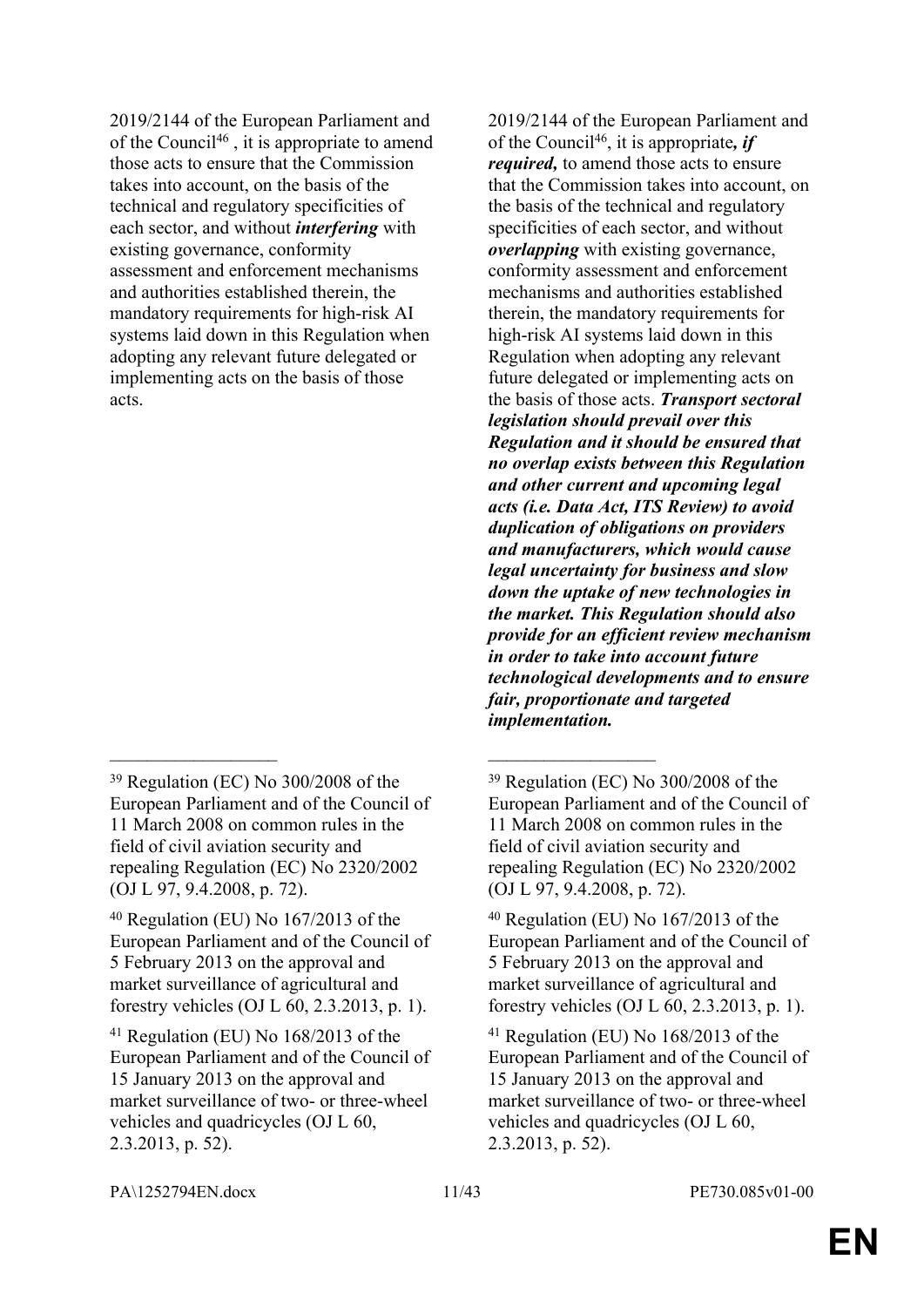2019/2144 of the European Parliament and of the Council<sup>46</sup>, it is appropriate to amend those acts to ensure that the Commission takes into account, on the basis of the technical and regulatory specificities of each sector, and without *interfering* with existing governance, conformity assessment and enforcement mechanisms and authorities established therein, the mandatory requirements for high-risk AI systems laid down in this Regulation when adopting any relevant future delegated or implementing acts on the basis of those acts.

 $\mathcal{L}_\text{max}$  and  $\mathcal{L}_\text{max}$  and  $\mathcal{L}_\text{max}$  and  $\mathcal{L}_\text{max}$ 

2019/2144 of the European Parliament and of the Council<sup>46</sup>, it is appropriate*, if required,* to amend those acts to ensure that the Commission takes into account, on the basis of the technical and regulatory specificities of each sector, and without *overlapping* with existing governance, conformity assessment and enforcement mechanisms and authorities established therein, the mandatory requirements for high-risk AI systems laid down in this Regulation when adopting any relevant future delegated or implementing acts on the basis of those acts. *Transport sectoral legislation should prevail over this Regulation and it should be ensured that no overlap exists between this Regulation and other current and upcoming legal acts (i.e. Data Act, ITS Review) to avoid duplication of obligations on providers and manufacturers, which would cause legal uncertainty for business and slow down the uptake of new technologies in the market. This Regulation should also provide for an efficient review mechanism in order to take into account future technological developments and to ensure fair, proportionate and targeted implementation.*

PA\1252794EN.docx 11/43 PE730.085v01-00

<sup>39</sup> Regulation (EC) No 300/2008 of the European Parliament and of the Council of 11 March 2008 on common rules in the field of civil aviation security and repealing Regulation (EC) No 2320/2002 (OJ L 97, 9.4.2008, p. 72).

<sup>40</sup> Regulation (EU) No 167/2013 of the European Parliament and of the Council of 5 February 2013 on the approval and market surveillance of agricultural and forestry vehicles (OJ L 60, 2.3.2013, p. 1).

<sup>41</sup> Regulation (EU) No 168/2013 of the European Parliament and of the Council of 15 January 2013 on the approval and market surveillance of two- or three-wheel vehicles and quadricycles (OJ L 60, 2.3.2013, p. 52).

<sup>39</sup> Regulation (EC) No 300/2008 of the European Parliament and of the Council of 11 March 2008 on common rules in the field of civil aviation security and repealing Regulation (EC) No 2320/2002 (OJ L 97, 9.4.2008, p. 72).

<sup>40</sup> Regulation (EU) No 167/2013 of the European Parliament and of the Council of 5 February 2013 on the approval and market surveillance of agricultural and forestry vehicles (OJ L 60, 2.3.2013, p. 1).

<sup>41</sup> Regulation (EU) No 168/2013 of the European Parliament and of the Council of 15 January 2013 on the approval and market surveillance of two- or three-wheel vehicles and quadricycles (OJ L 60, 2.3.2013, p. 52).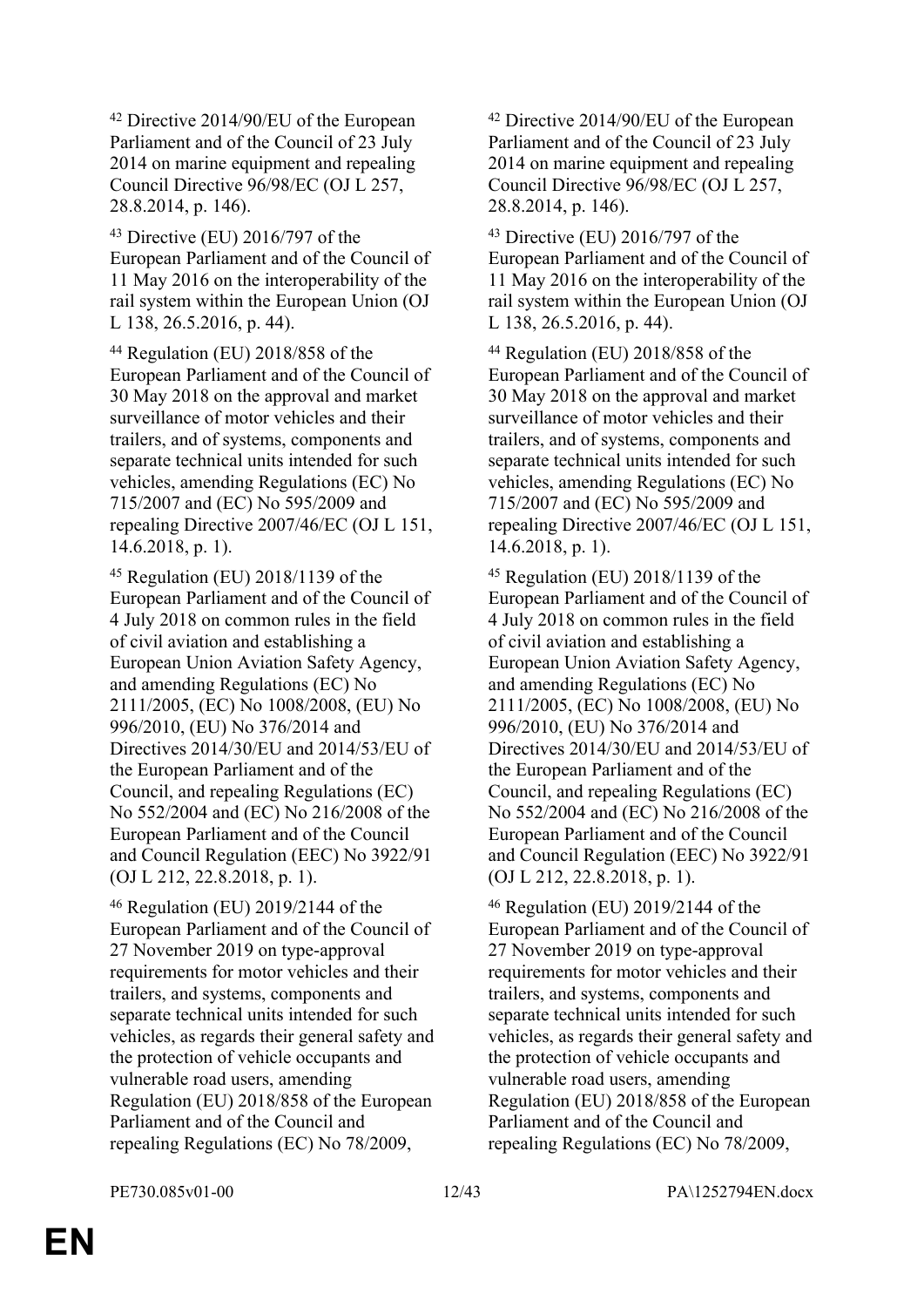<sup>42</sup> Directive 2014/90/EU of the European Parliament and of the Council of 23 July 2014 on marine equipment and repealing Council Directive 96/98/EC (OJ L 257, 28.8.2014, p. 146).

<sup>43</sup> Directive (EU) 2016/797 of the European Parliament and of the Council of 11 May 2016 on the interoperability of the rail system within the European Union (OJ L 138, 26.5.2016, p. 44).

<sup>44</sup> Regulation (EU) 2018/858 of the European Parliament and of the Council of 30 May 2018 on the approval and market surveillance of motor vehicles and their trailers, and of systems, components and separate technical units intended for such vehicles, amending Regulations (EC) No 715/2007 and (EC) No 595/2009 and repealing Directive 2007/46/EC (OJ L 151, 14.6.2018, p. 1).

<sup>45</sup> Regulation (EU) 2018/1139 of the European Parliament and of the Council of 4 July 2018 on common rules in the field of civil aviation and establishing a European Union Aviation Safety Agency, and amending Regulations (EC) No 2111/2005, (EC) No 1008/2008, (EU) No 996/2010, (EU) No 376/2014 and Directives 2014/30/EU and 2014/53/EU of the European Parliament and of the Council, and repealing Regulations (EC) No 552/2004 and (EC) No 216/2008 of the European Parliament and of the Council and Council Regulation (EEC) No 3922/91 (OJ L 212, 22.8.2018, p. 1).

<sup>46</sup> Regulation (EU) 2019/2144 of the European Parliament and of the Council of 27 November 2019 on type-approval requirements for motor vehicles and their trailers, and systems, components and separate technical units intended for such vehicles, as regards their general safety and the protection of vehicle occupants and vulnerable road users, amending Regulation (EU) 2018/858 of the European Parliament and of the Council and repealing Regulations (EC) No 78/2009,

<sup>42</sup> Directive 2014/90/EU of the European Parliament and of the Council of 23 July 2014 on marine equipment and repealing Council Directive 96/98/EC (OJ L 257, 28.8.2014, p. 146).

<sup>43</sup> Directive (EU) 2016/797 of the European Parliament and of the Council of 11 May 2016 on the interoperability of the rail system within the European Union (OJ L 138, 26.5.2016, p. 44).

<sup>44</sup> Regulation (EU) 2018/858 of the European Parliament and of the Council of 30 May 2018 on the approval and market surveillance of motor vehicles and their trailers, and of systems, components and separate technical units intended for such vehicles, amending Regulations (EC) No 715/2007 and (EC) No 595/2009 and repealing Directive 2007/46/EC (OJ L 151, 14.6.2018, p. 1).

<sup>45</sup> Regulation (EU) 2018/1139 of the European Parliament and of the Council of 4 July 2018 on common rules in the field of civil aviation and establishing a European Union Aviation Safety Agency, and amending Regulations (EC) No 2111/2005, (EC) No 1008/2008, (EU) No 996/2010, (EU) No 376/2014 and Directives 2014/30/EU and 2014/53/EU of the European Parliament and of the Council, and repealing Regulations (EC) No 552/2004 and (EC) No 216/2008 of the European Parliament and of the Council and Council Regulation (EEC) No 3922/91 (OJ L 212, 22.8.2018, p. 1).

<sup>46</sup> Regulation (EU) 2019/2144 of the European Parliament and of the Council of 27 November 2019 on type-approval requirements for motor vehicles and their trailers, and systems, components and separate technical units intended for such vehicles, as regards their general safety and the protection of vehicle occupants and vulnerable road users, amending Regulation (EU) 2018/858 of the European Parliament and of the Council and repealing Regulations (EC) No 78/2009,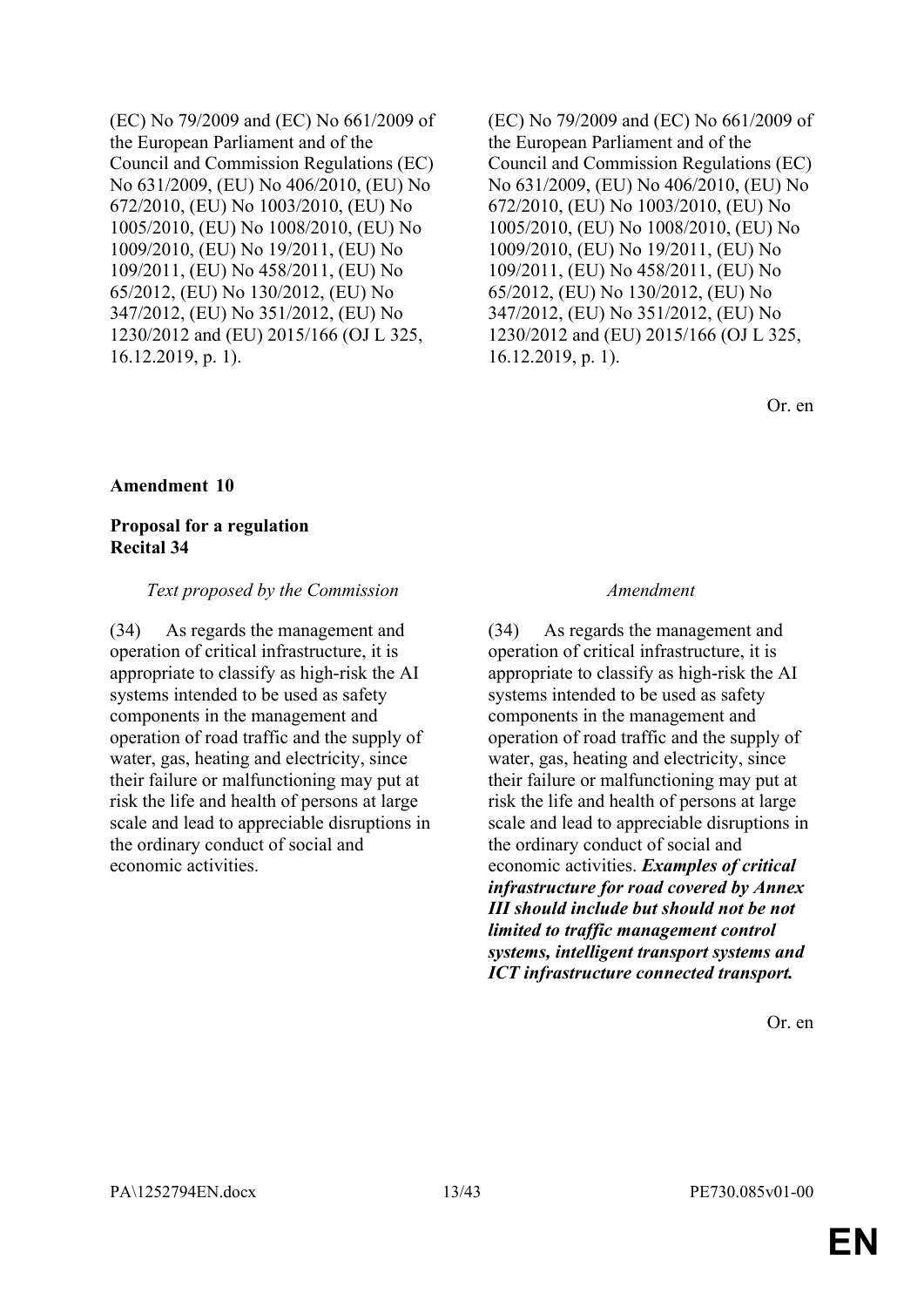(EC) No 79/2009 and (EC) No 661/2009 of the European Parliament and of the Council and Commission Regulations (EC) No 631/2009, (EU) No 406/2010, (EU) No 672/2010, (EU) No 1003/2010, (EU) No 1005/2010, (EU) No 1008/2010, (EU) No 1009/2010, (EU) No 19/2011, (EU) No 109/2011, (EU) No 458/2011, (EU) No 65/2012, (EU) No 130/2012, (EU) No 347/2012, (EU) No 351/2012, (EU) No 1230/2012 and (EU) 2015/166 (OJ L 325, 16.12.2019, p. 1).

(EC) No 79/2009 and (EC) No 661/2009 of the European Parliament and of the Council and Commission Regulations (EC) No 631/2009, (EU) No 406/2010, (EU) No 672/2010, (EU) No 1003/2010, (EU) No 1005/2010, (EU) No 1008/2010, (EU) No 1009/2010, (EU) No 19/2011, (EU) No 109/2011, (EU) No 458/2011, (EU) No 65/2012, (EU) No 130/2012, (EU) No 347/2012, (EU) No 351/2012, (EU) No 1230/2012 and (EU) 2015/166 (OJ L 325, 16.12.2019, p. 1).

Or. en

#### **Amendment 10**

#### **Proposal for a regulation Recital 34**

#### *Text proposed by the Commission Amendment*

(34) As regards the management and operation of critical infrastructure, it is appropriate to classify as high-risk the AI systems intended to be used as safety components in the management and operation of road traffic and the supply of water, gas, heating and electricity, since their failure or malfunctioning may put at risk the life and health of persons at large scale and lead to appreciable disruptions in the ordinary conduct of social and economic activities.

(34) As regards the management and operation of critical infrastructure, it is appropriate to classify as high-risk the AI systems intended to be used as safety components in the management and operation of road traffic and the supply of water, gas, heating and electricity, since their failure or malfunctioning may put at risk the life and health of persons at large scale and lead to appreciable disruptions in the ordinary conduct of social and economic activities. *Examples of critical infrastructure for road covered by Annex III should include but should not be not limited to traffic management control systems, intelligent transport systems and ICT infrastructure connected transport.*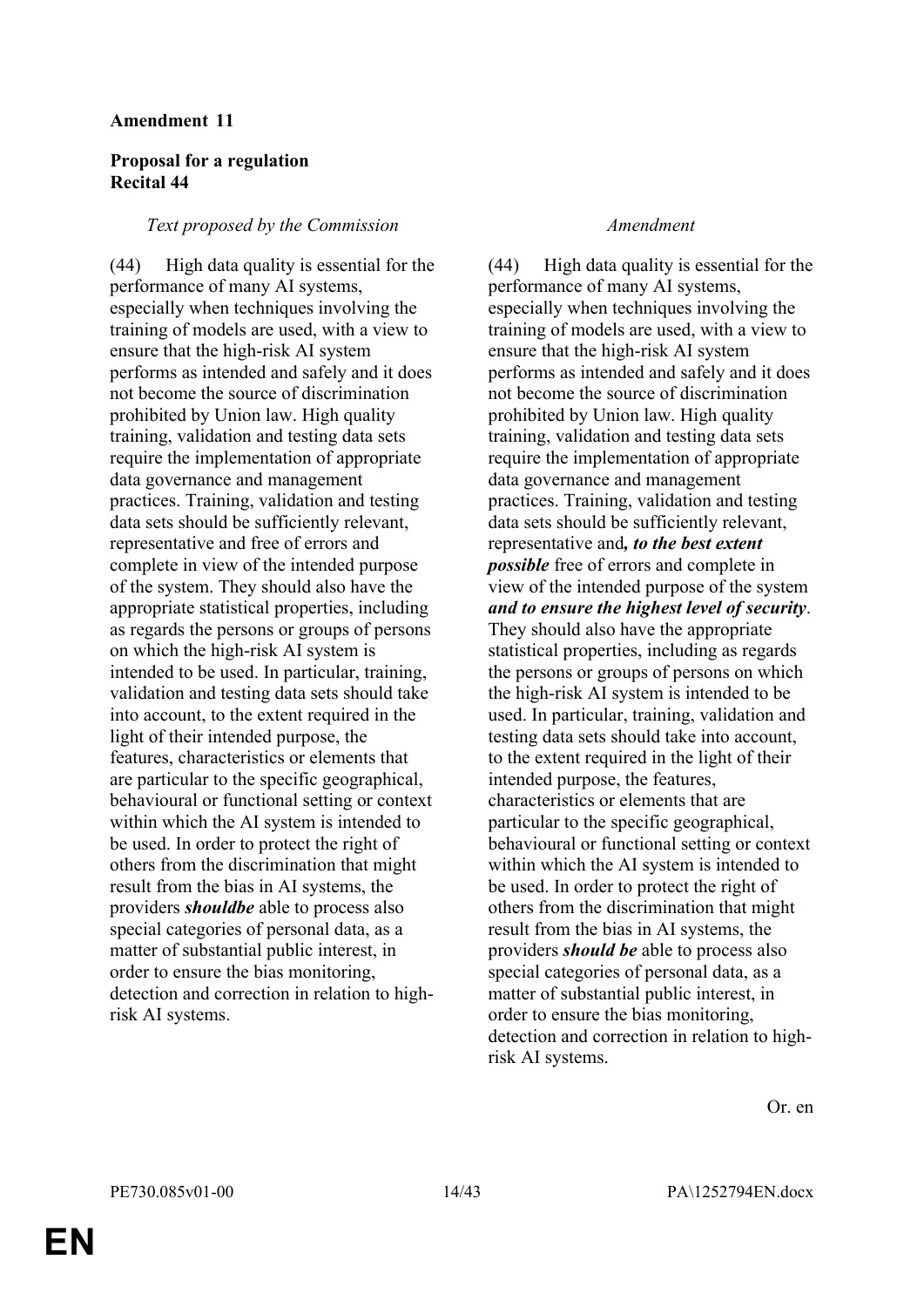### **Proposal for a regulation Recital 44**

#### *Text proposed by the Commission Amendment*

(44) High data quality is essential for the performance of many AI systems, especially when techniques involving the training of models are used, with a view to ensure that the high-risk AI system performs as intended and safely and it does not become the source of discrimination prohibited by Union law. High quality training, validation and testing data sets require the implementation of appropriate data governance and management practices. Training, validation and testing data sets should be sufficiently relevant, representative and free of errors and complete in view of the intended purpose of the system. They should also have the appropriate statistical properties, including as regards the persons or groups of persons on which the high-risk AI system is intended to be used. In particular, training, validation and testing data sets should take into account, to the extent required in the light of their intended purpose, the features, characteristics or elements that are particular to the specific geographical, behavioural or functional setting or context within which the AI system is intended to be used. In order to protect the right of others from the discrimination that might result from the bias in AI systems, the providers *shouldbe* able to process also special categories of personal data, as a matter of substantial public interest, in order to ensure the bias monitoring, detection and correction in relation to highrisk AI systems.

(44) High data quality is essential for the performance of many AI systems, especially when techniques involving the training of models are used, with a view to ensure that the high-risk AI system performs as intended and safely and it does not become the source of discrimination prohibited by Union law. High quality training, validation and testing data sets require the implementation of appropriate data governance and management practices. Training, validation and testing data sets should be sufficiently relevant, representative and*, to the best extent possible* free of errors and complete in view of the intended purpose of the system *and to ensure the highest level of security*. They should also have the appropriate statistical properties, including as regards the persons or groups of persons on which the high-risk AI system is intended to be used. In particular, training, validation and testing data sets should take into account, to the extent required in the light of their intended purpose, the features, characteristics or elements that are particular to the specific geographical, behavioural or functional setting or context within which the AI system is intended to be used. In order to protect the right of others from the discrimination that might result from the bias in AI systems, the providers *should be* able to process also special categories of personal data, as a matter of substantial public interest, in order to ensure the bias monitoring, detection and correction in relation to highrisk AI systems.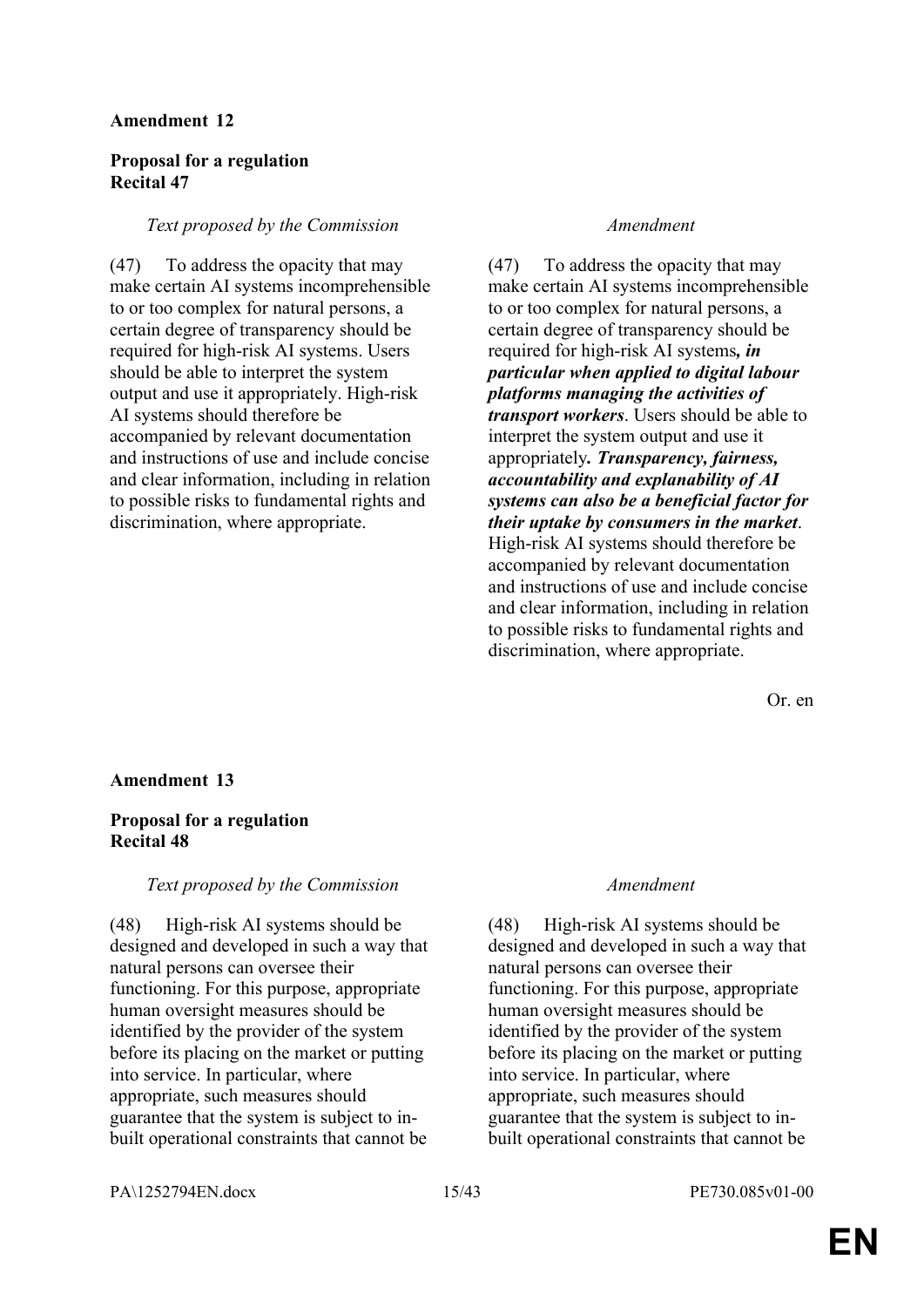#### **Proposal for a regulation Recital 47**

#### *Text proposed by the Commission Amendment*

(47) To address the opacity that may make certain AI systems incomprehensible to or too complex for natural persons, a certain degree of transparency should be required for high-risk AI systems. Users should be able to interpret the system output and use it appropriately. High-risk AI systems should therefore be accompanied by relevant documentation and instructions of use and include concise and clear information, including in relation to possible risks to fundamental rights and discrimination, where appropriate.

(47) To address the opacity that may make certain AI systems incomprehensible to or too complex for natural persons, a certain degree of transparency should be required for high-risk AI systems*, in particular when applied to digital labour platforms managing the activities of transport workers*. Users should be able to interpret the system output and use it appropriately*. Transparency, fairness, accountability and explanability of AI systems can also be a beneficial factor for their uptake by consumers in the market*. High-risk AI systems should therefore be accompanied by relevant documentation and instructions of use and include concise and clear information, including in relation to possible risks to fundamental rights and discrimination, where appropriate.

Or. en

#### **Amendment 13**

#### **Proposal for a regulation Recital 48**

#### *Text proposed by the Commission Amendment*

(48) High-risk AI systems should be designed and developed in such a way that natural persons can oversee their functioning. For this purpose, appropriate human oversight measures should be identified by the provider of the system before its placing on the market or putting into service. In particular, where appropriate, such measures should guarantee that the system is subject to inbuilt operational constraints that cannot be

(48) High-risk AI systems should be designed and developed in such a way that natural persons can oversee their functioning. For this purpose, appropriate human oversight measures should be identified by the provider of the system before its placing on the market or putting into service. In particular, where appropriate, such measures should guarantee that the system is subject to inbuilt operational constraints that cannot be

PA\1252794EN.docx 15/43 PE730.085v01-00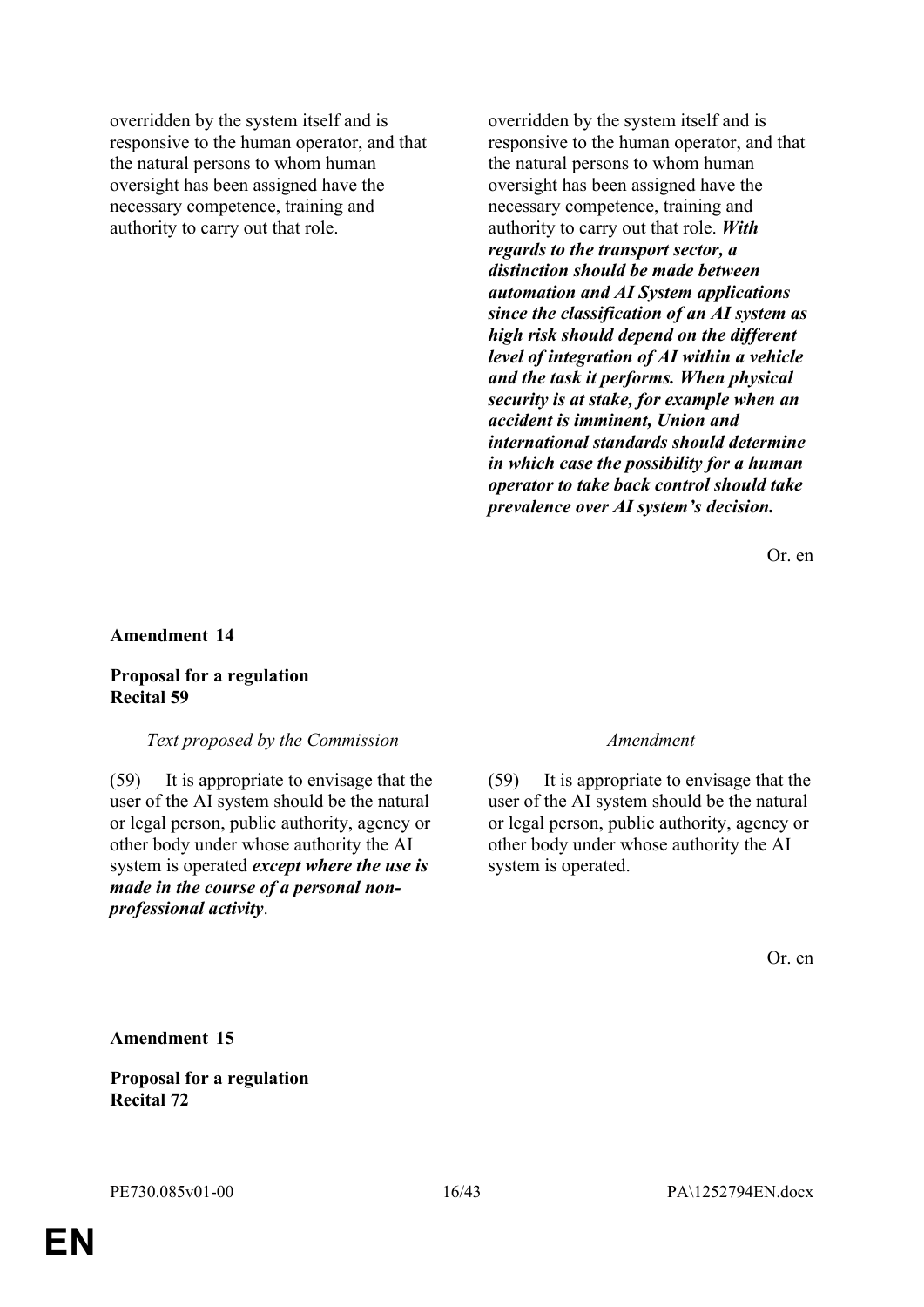overridden by the system itself and is responsive to the human operator, and that the natural persons to whom human oversight has been assigned have the necessary competence, training and authority to carry out that role.

overridden by the system itself and is responsive to the human operator, and that the natural persons to whom human oversight has been assigned have the necessary competence, training and authority to carry out that role. *With regards to the transport sector, a distinction should be made between automation and AI System applications since the classification of an AI system as high risk should depend on the different level of integration of AI within a vehicle and the task it performs. When physical security is at stake, for example when an accident is imminent, Union and international standards should determine in which case the possibility for a human operator to take back control should take prevalence over AI system's decision.*

Or. en

#### **Amendment 14**

#### **Proposal for a regulation Recital 59**

#### *Text proposed by the Commission Amendment*

(59) It is appropriate to envisage that the user of the AI system should be the natural or legal person, public authority, agency or other body under whose authority the AI system is operated *except where the use is made in the course of a personal nonprofessional activity*.

(59) It is appropriate to envisage that the user of the AI system should be the natural or legal person, public authority, agency or other body under whose authority the AI system is operated.

Or. en

**Amendment 15**

**Proposal for a regulation Recital 72**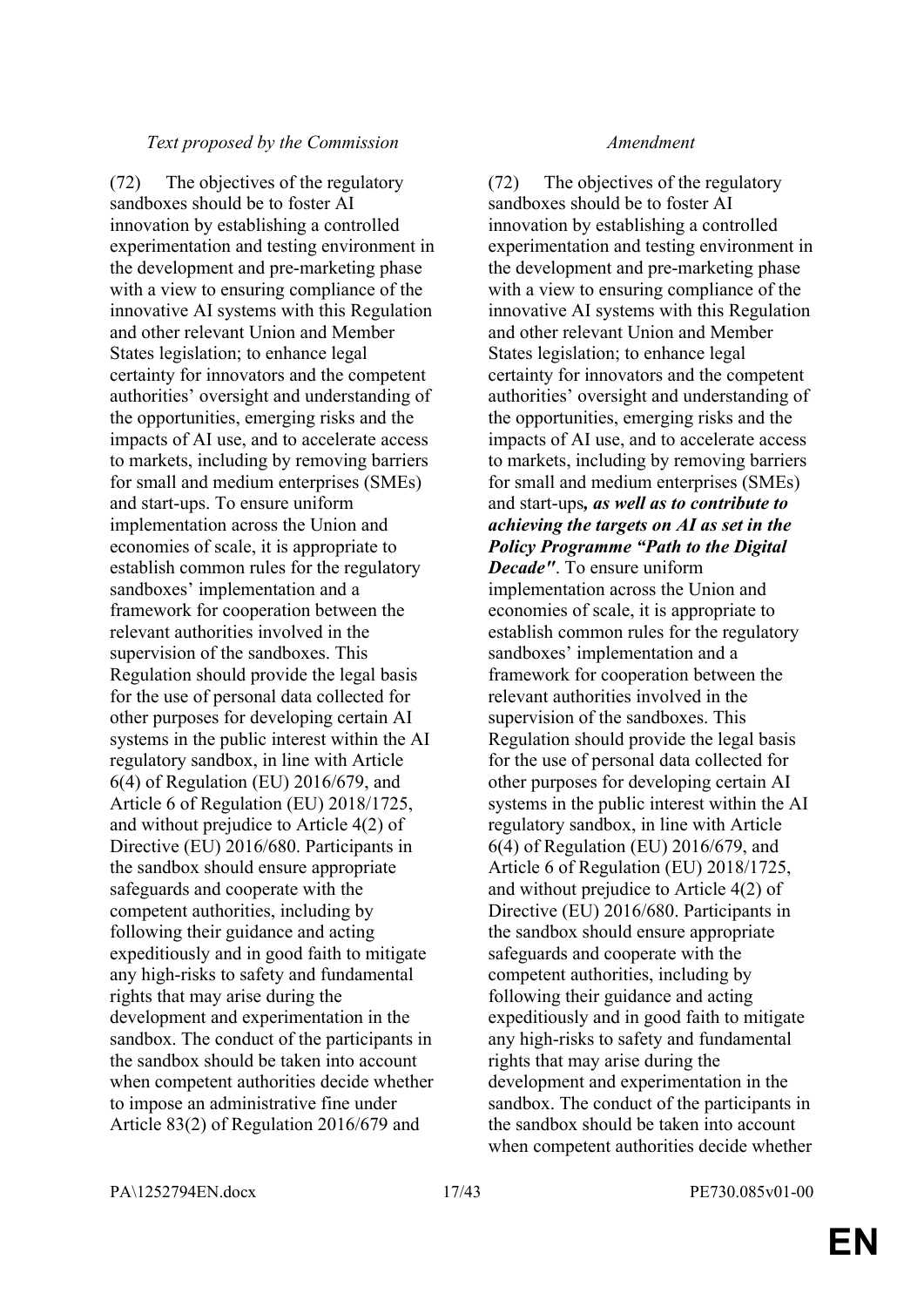#### *Text proposed by the Commission Amendment*

(72) The objectives of the regulatory sandboxes should be to foster AI innovation by establishing a controlled experimentation and testing environment in the development and pre-marketing phase with a view to ensuring compliance of the innovative AI systems with this Regulation and other relevant Union and Member States legislation; to enhance legal certainty for innovators and the competent authorities' oversight and understanding of the opportunities, emerging risks and the impacts of AI use, and to accelerate access to markets, including by removing barriers for small and medium enterprises (SMEs) and start-ups. To ensure uniform implementation across the Union and economies of scale, it is appropriate to establish common rules for the regulatory sandboxes' implementation and a framework for cooperation between the relevant authorities involved in the supervision of the sandboxes. This Regulation should provide the legal basis for the use of personal data collected for other purposes for developing certain AI systems in the public interest within the AI regulatory sandbox, in line with Article 6(4) of Regulation (EU) 2016/679, and Article 6 of Regulation (EU) 2018/1725, and without prejudice to Article 4(2) of Directive (EU) 2016/680. Participants in the sandbox should ensure appropriate safeguards and cooperate with the competent authorities, including by following their guidance and acting expeditiously and in good faith to mitigate any high-risks to safety and fundamental rights that may arise during the development and experimentation in the sandbox. The conduct of the participants in the sandbox should be taken into account when competent authorities decide whether to impose an administrative fine under Article 83(2) of Regulation 2016/679 and

(72) The objectives of the regulatory sandboxes should be to foster AI innovation by establishing a controlled experimentation and testing environment in the development and pre-marketing phase with a view to ensuring compliance of the innovative AI systems with this Regulation and other relevant Union and Member States legislation; to enhance legal certainty for innovators and the competent authorities' oversight and understanding of the opportunities, emerging risks and the impacts of AI use, and to accelerate access to markets, including by removing barriers for small and medium enterprises (SMEs) and start-ups*, as well as to contribute to achieving the targets on AI as set in the Policy Programme "Path to the Digital Decade"*. To ensure uniform

implementation across the Union and economies of scale, it is appropriate to establish common rules for the regulatory sandboxes' implementation and a framework for cooperation between the relevant authorities involved in the supervision of the sandboxes. This Regulation should provide the legal basis for the use of personal data collected for other purposes for developing certain AI systems in the public interest within the AI regulatory sandbox, in line with Article 6(4) of Regulation (EU) 2016/679, and Article 6 of Regulation (EU) 2018/1725, and without prejudice to Article 4(2) of Directive (EU) 2016/680. Participants in the sandbox should ensure appropriate safeguards and cooperate with the competent authorities, including by following their guidance and acting expeditiously and in good faith to mitigate any high-risks to safety and fundamental rights that may arise during the development and experimentation in the sandbox. The conduct of the participants in the sandbox should be taken into account when competent authorities decide whether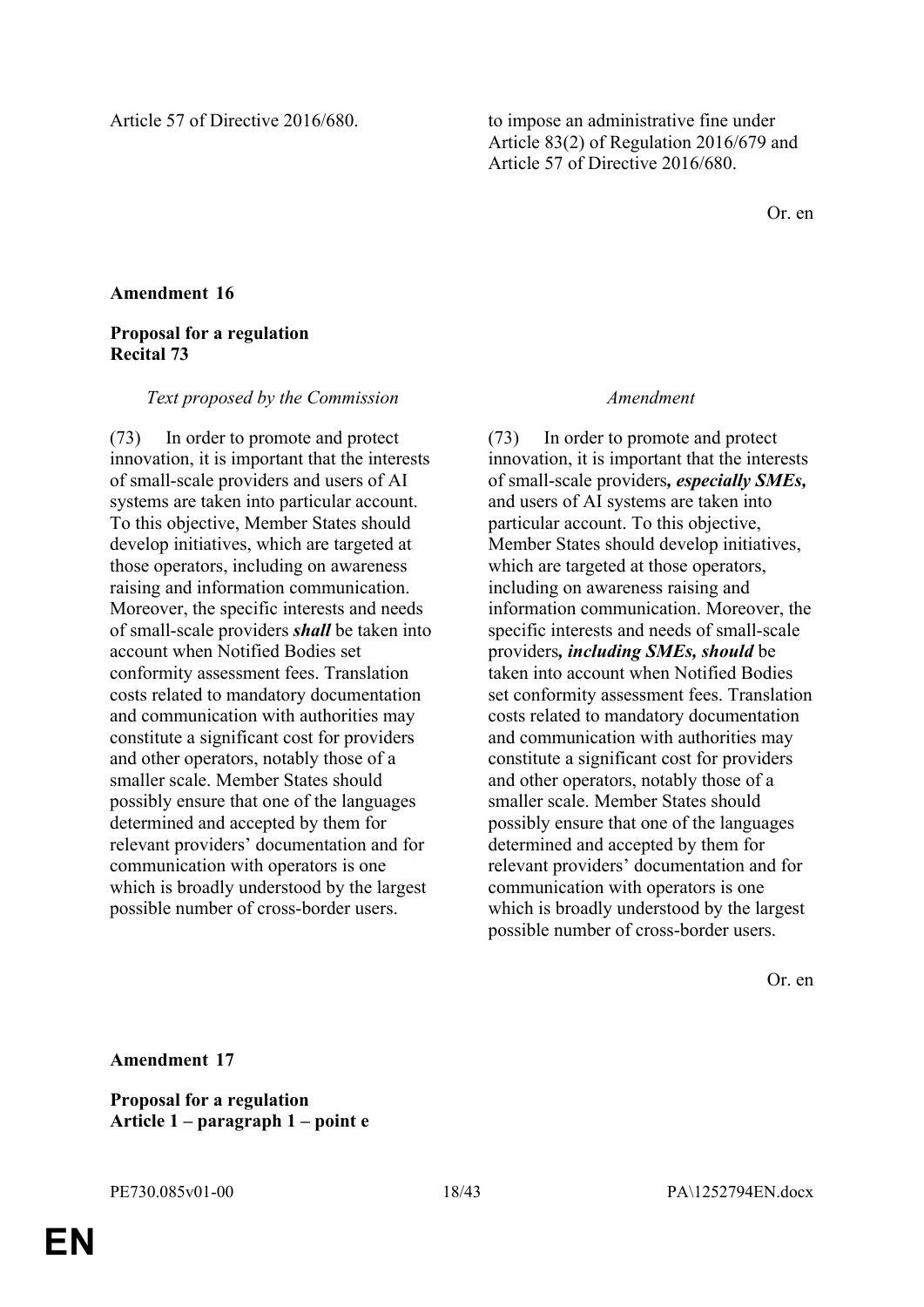Or. en

### **Amendment 16**

### **Proposal for a regulation Recital 73**

#### *Text proposed by the Commission Amendment*

(73) In order to promote and protect innovation, it is important that the interests of small-scale providers and users of AI systems are taken into particular account. To this objective, Member States should develop initiatives, which are targeted at those operators, including on awareness raising and information communication. Moreover, the specific interests and needs of small-scale providers *shall* be taken into account when Notified Bodies set conformity assessment fees. Translation costs related to mandatory documentation and communication with authorities may constitute a significant cost for providers and other operators, notably those of a smaller scale. Member States should possibly ensure that one of the languages determined and accepted by them for relevant providers' documentation and for communication with operators is one which is broadly understood by the largest possible number of cross-border users.

(73) In order to promote and protect innovation, it is important that the interests of small-scale providers*, especially SMEs,* and users of AI systems are taken into particular account. To this objective, Member States should develop initiatives, which are targeted at those operators, including on awareness raising and information communication. Moreover, the specific interests and needs of small-scale providers*, including SMEs, should* be taken into account when Notified Bodies set conformity assessment fees. Translation costs related to mandatory documentation and communication with authorities may constitute a significant cost for providers and other operators, notably those of a smaller scale. Member States should possibly ensure that one of the languages determined and accepted by them for relevant providers' documentation and for communication with operators is one which is broadly understood by the largest possible number of cross-border users.

Or. en

**Amendment 17**

**Proposal for a regulation Article 1 – paragraph 1 – point e**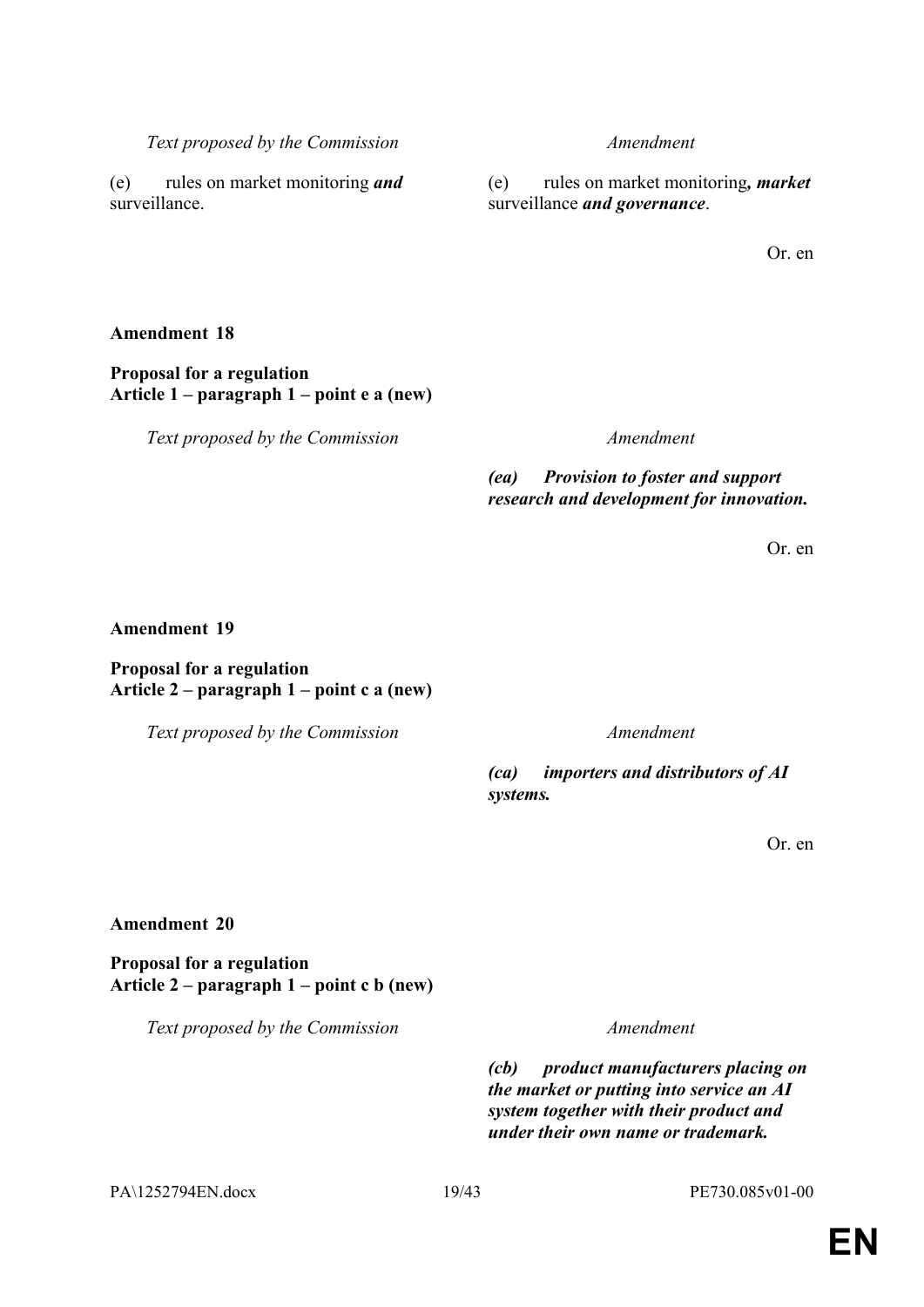PA\1252794EN.docx 19/43 PE730.085v01-00

# **Amendment 20**

**Proposal for a regulation Article 2 – paragraph 1 – point c b (new)**

Or. en

*Text proposed by the Commission Amendment*

*(ea) Provision to foster and support research and development for innovation.*

Or. en

### **Amendment 19**

**Amendment 18**

**Proposal for a regulation**

### **Proposal for a regulation Article 2 – paragraph 1 – point c a (new)**

*(ca) importers and distributors of AI systems.*

(e) rules on market monitoring*, market* surveillance *and governance*.

Or. en

*Text proposed by the Commission Amendment*

**Article 1 – paragraph 1 – point e a (new)**

(e) rules on market monitoring *and* surveillance.

*Text proposed by the Commission Amendment*

*Text proposed by the Commission Amendment*

*(cb) product manufacturers placing on the market or putting into service an AI system together with their product and under their own name or trademark.*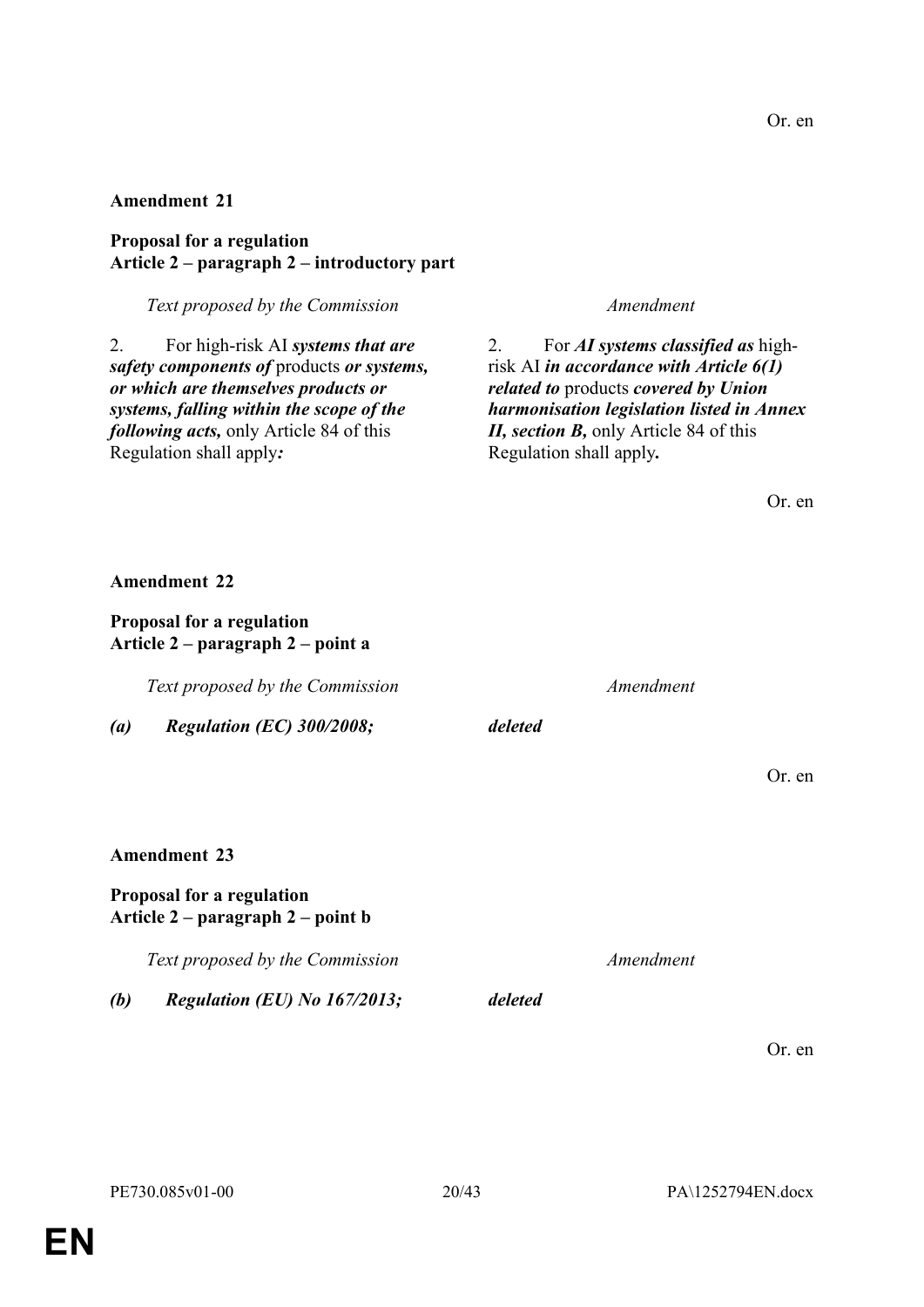Or. en

### **Amendment 21**

**Proposal for a regulation Article 2 – paragraph 2 – introductory part**

*Text proposed by the Commission Amendment*

2. For high-risk AI *systems that are safety components of* products *or systems, or which are themselves products or systems, falling within the scope of the following acts,* only Article 84 of this Regulation shall apply*:*

2. For *AI systems classified as* highrisk AI *in accordance with Article 6(1) related to* products *covered by Union harmonisation legislation listed in Annex II, section B,* only Article 84 of this Regulation shall apply*.*

**Amendment 22 Proposal for a regulation Article 2 – paragraph 2 – point a** *Text proposed by the Commission Amendment (a) Regulation (EC) 300/2008; deleted* Or. en **Amendment 23 Proposal for a regulation Article 2 – paragraph 2 – point b** *Text proposed by the Commission Amendment (b) Regulation (EU) No 167/2013; deleted*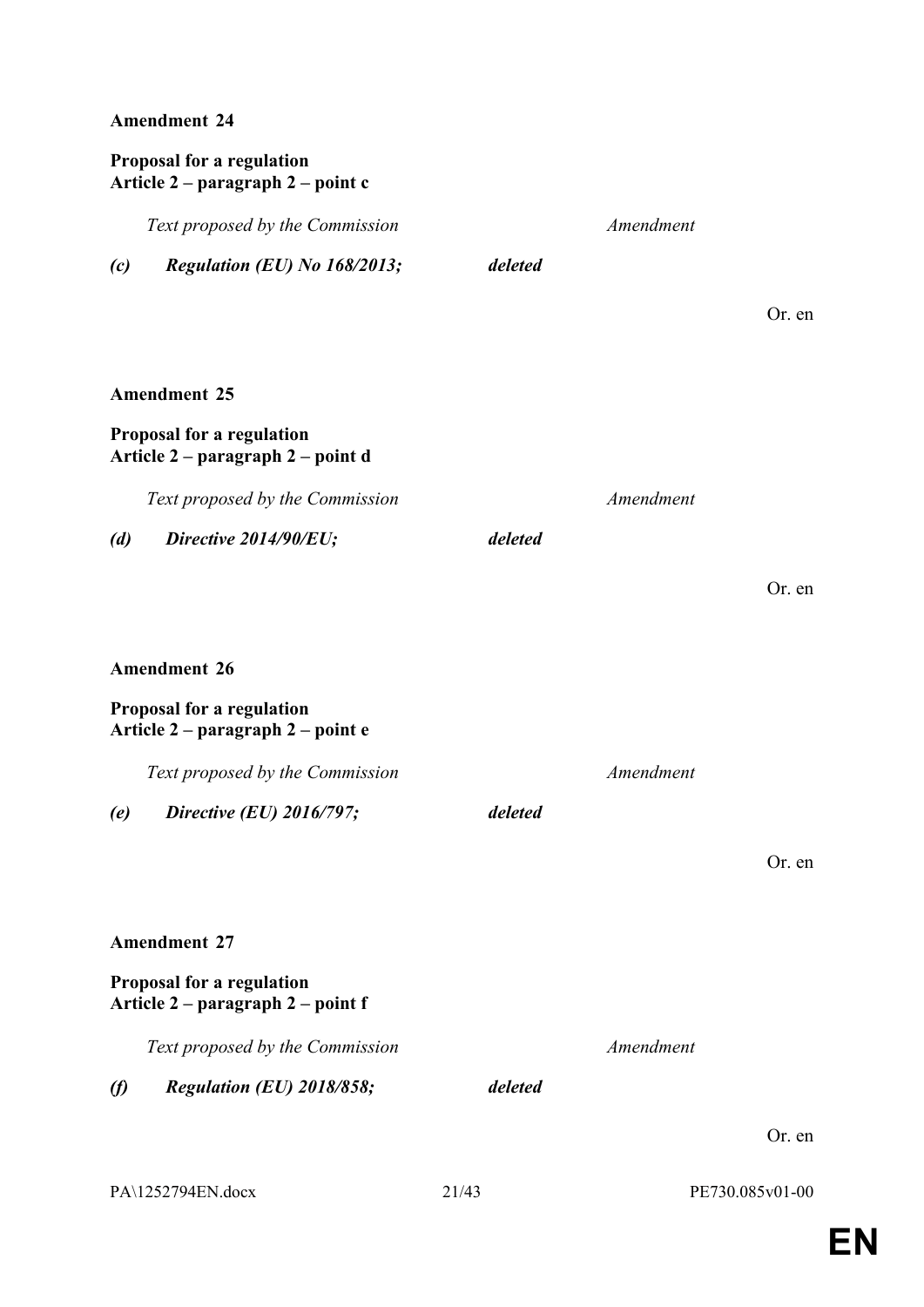### **Proposal for a regulation Article 2 – paragraph 2 – point c**

*Text proposed by the Commission Amendment*

*(c) Regulation (EU) No 168/2013; deleted*

Or. en

Or. en

### **Amendment 25**

### **Proposal for a regulation Article 2 – paragraph 2 – point d**

*Text proposed by the Commission Amendment*

*(d) Directive 2014/90/EU; deleted*

### **Amendment 26**

### **Proposal for a regulation Article 2 – paragraph 2 – point e**

*Text proposed by the Commission Amendment*

*(e) Directive (EU) 2016/797; deleted*

Or. en

### **Amendment 27**

### **Proposal for a regulation Article 2 – paragraph 2 – point f**

*Text proposed by the Commission Amendment*

*(f) Regulation (EU) 2018/858; deleted*

| PA\1252794EN.docx |
|-------------------|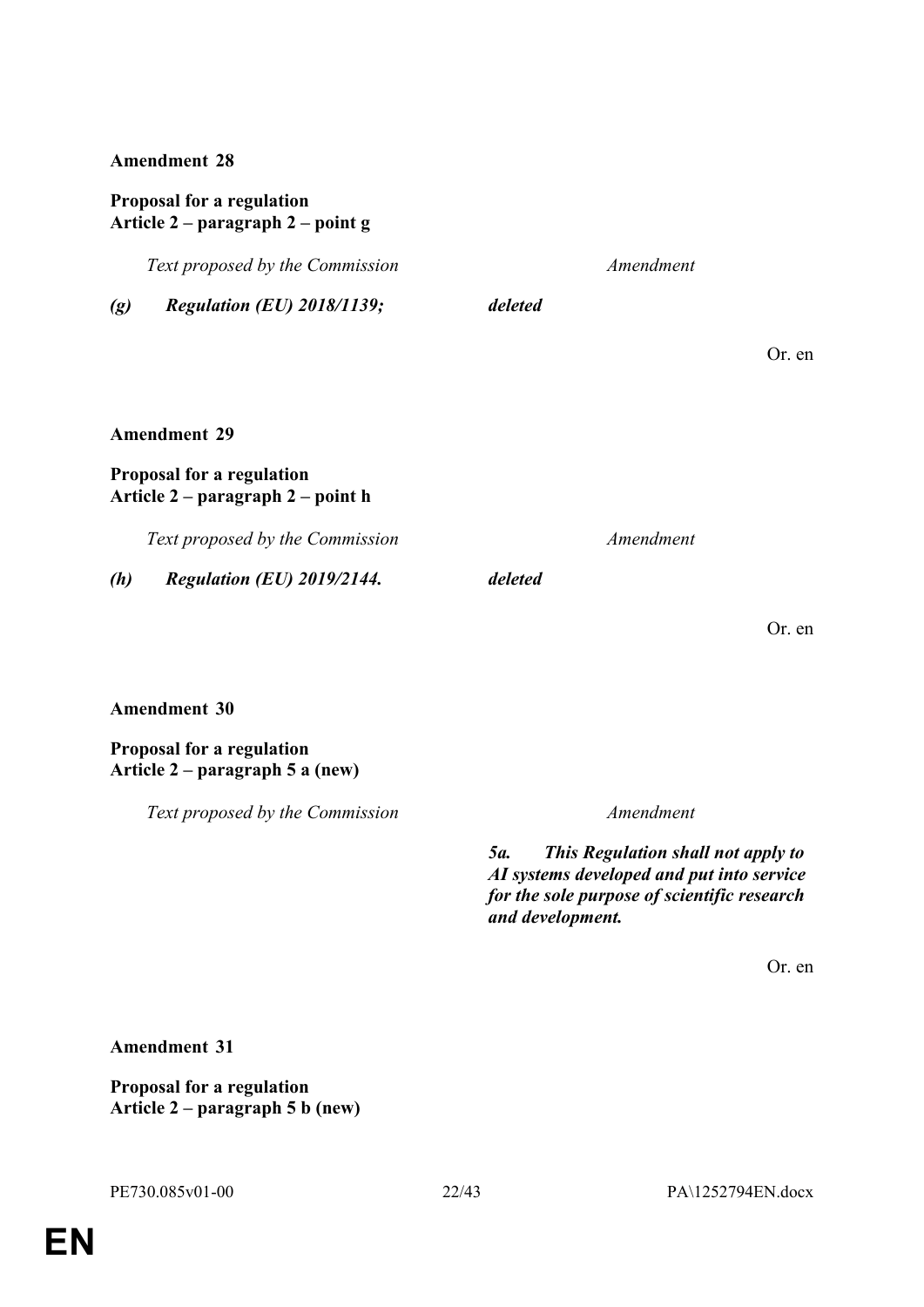### **Proposal for a regulation Article 2 – paragraph 2 – point g**

*Text proposed by the Commission Amendment (g) Regulation (EU) 2018/1139; deleted* Or. en **Amendment 29 Proposal for a regulation Article 2 – paragraph 2 – point h** *Text proposed by the Commission Amendment (h) Regulation (EU) 2019/2144. deleted* Or. en

#### **Amendment 30**

**Proposal for a regulation Article 2 – paragraph 5 a (new)**

*Text proposed by the Commission Amendment*

*5a. This Regulation shall not apply to AI systems developed and put into service for the sole purpose of scientific research and development.*

Or. en

**Amendment 31**

**Proposal for a regulation Article 2 – paragraph 5 b (new)**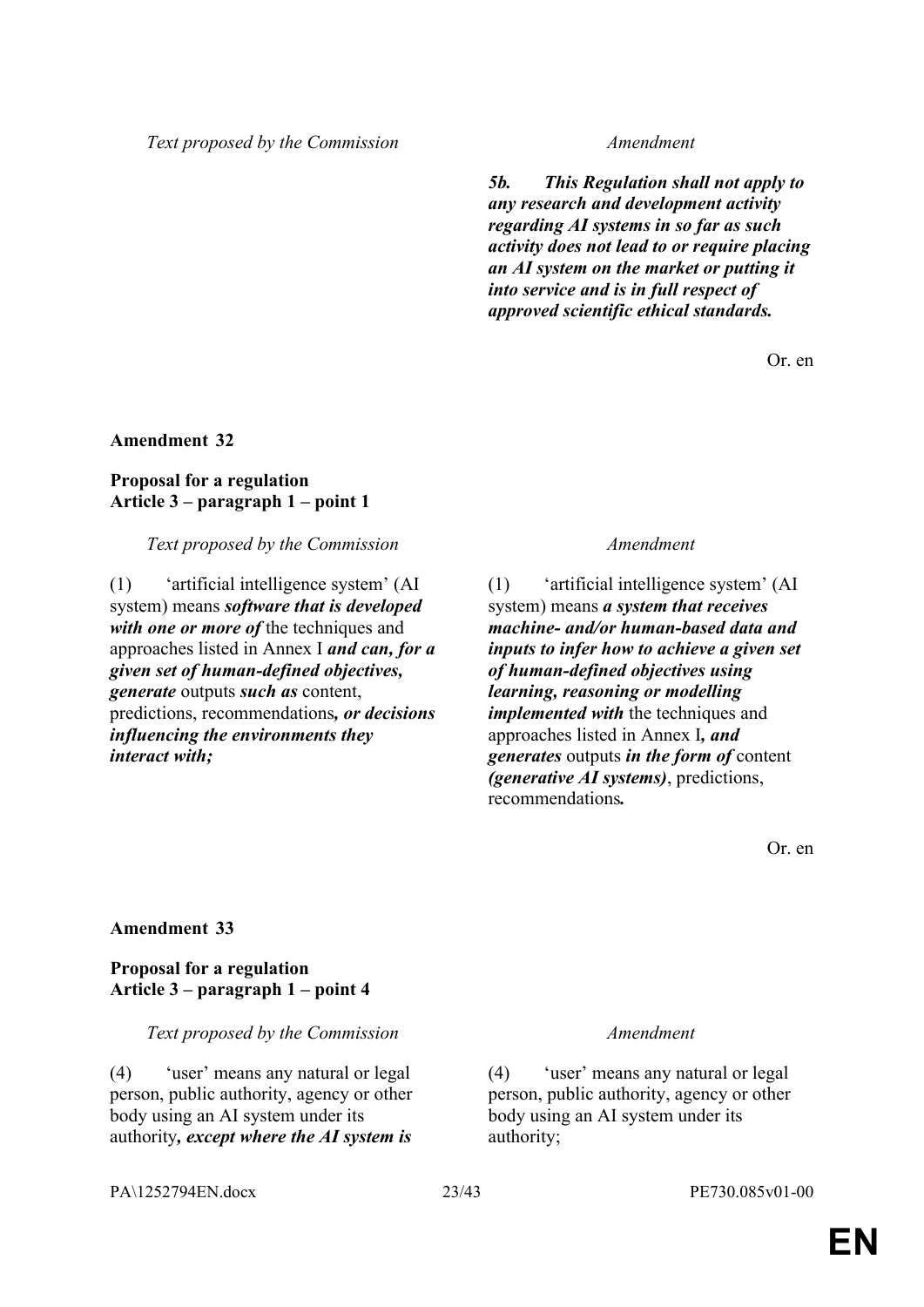*Text proposed by the Commission Amendment*

*5b. This Regulation shall not apply to any research and development activity regarding AI systems in so far as such activity does not lead to or require placing an AI system on the market or putting it into service and is in full respect of approved scientific ethical standards.*

Or. en

#### **Amendment 32**

### **Proposal for a regulation Article 3 – paragraph 1 – point 1**

*Text proposed by the Commission Amendment*

(1) 'artificial intelligence system' (AI system) means *software that is developed with one or more of* the techniques and approaches listed in Annex I *and can, for a given set of human-defined objectives, generate* outputs *such as* content, predictions, recommendations*, or decisions influencing the environments they interact with;*

(1) 'artificial intelligence system' (AI system) means *a system that receives machine- and/or human-based data and inputs to infer how to achieve a given set of human-defined objectives using learning, reasoning or modelling implemented with* the techniques and approaches listed in Annex I*, and generates* outputs *in the form of* content *(generative AI systems)*, predictions, recommendations*.*

Or. en

#### **Amendment 33**

### **Proposal for a regulation Article 3 – paragraph 1 – point 4**

*Text proposed by the Commission Amendment*

(4) 'user' means any natural or legal person, public authority, agency or other body using an AI system under its authority*, except where the AI system is* 

(4) 'user' means any natural or legal person, public authority, agency or other body using an AI system under its authority;

PA\1252794EN.docx 23/43 PE730.085v01-00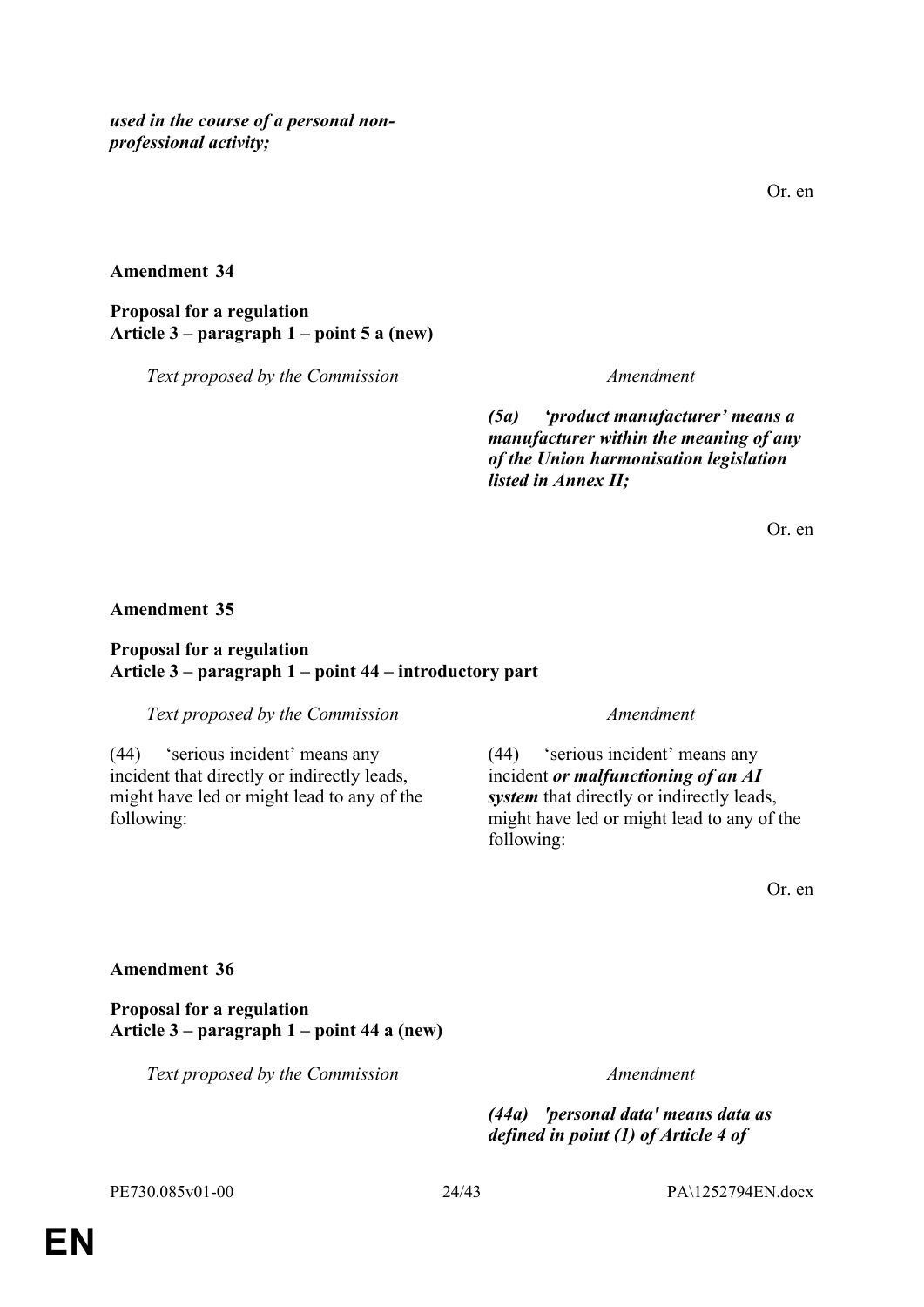*used in the course of a personal nonprofessional activity;*

#### **Amendment 34**

**Proposal for a regulation Article 3 – paragraph 1 – point 5 a (new)**

*Text proposed by the Commission Amendment*

*(5a) 'product manufacturer' means a manufacturer within the meaning of any of the Union harmonisation legislation listed in Annex II;*

Or. en

#### **Amendment 35**

#### **Proposal for a regulation Article 3 – paragraph 1 – point 44 – introductory part**

*Text proposed by the Commission Amendment*

(44) 'serious incident' means any incident that directly or indirectly leads, might have led or might lead to any of the following:

(44) 'serious incident' means any incident *or malfunctioning of an AI system* that directly or indirectly leads, might have led or might lead to any of the following:

Or. en

### **Amendment 36**

**Proposal for a regulation Article 3 – paragraph 1 – point 44 a (new)**

*Text proposed by the Commission Amendment*

*(44a) 'personal data' means data as defined in point (1) of Article 4 of*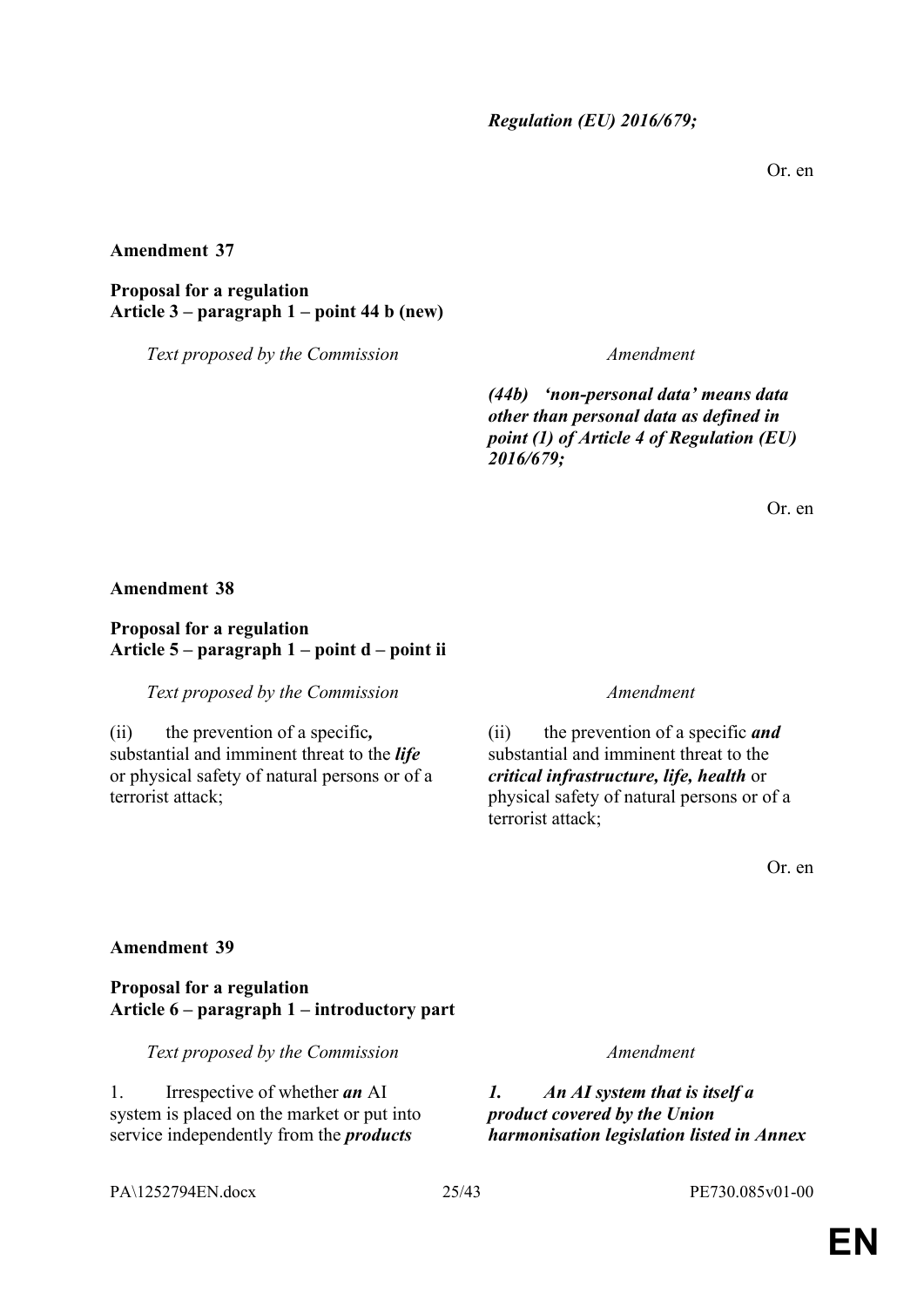Or. en

**Amendment 37**

**Proposal for a regulation Article 3 – paragraph 1 – point 44 b (new)**

*Text proposed by the Commission Amendment*

*(44b) 'non-personal data' means data other than personal data as defined in point (1) of Article 4 of Regulation (EU) 2016/679;*

Or. en

#### **Amendment 38**

### **Proposal for a regulation Article 5 – paragraph 1 – point d – point ii**

*Text proposed by the Commission Amendment*

(ii) the prevention of a specific*,* substantial and imminent threat to the *life* or physical safety of natural persons or of a terrorist attack;

(ii) the prevention of a specific *and* substantial and imminent threat to the *critical infrastructure, life, health* or physical safety of natural persons or of a terrorist attack;

Or. en

#### **Amendment 39**

**Proposal for a regulation Article 6 – paragraph 1 – introductory part**

*Text proposed by the Commission Amendment*

1. Irrespective of whether *an* AI system is placed on the market or put into service independently from the *products*

*1. An AI system that is itself a product covered by the Union harmonisation legislation listed in Annex* 

#### PA\1252794EN.docx 25/43 PE730.085v01-00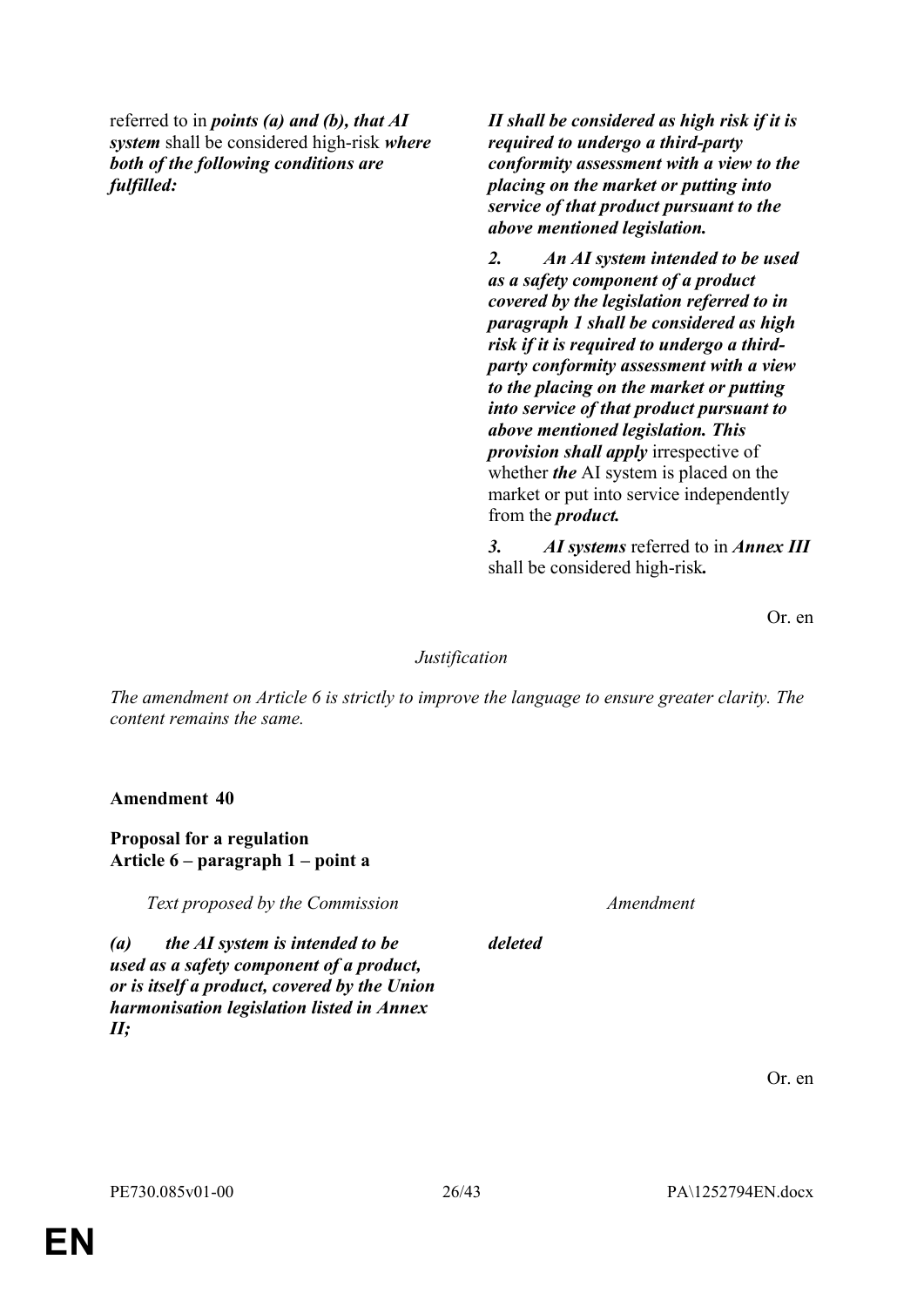referred to in *points (a) and (b), that AI system* shall be considered high-risk *where both of the following conditions are fulfilled:*

*II shall be considered as high risk if it is required to undergo a third-party conformity assessment with a view to the placing on the market or putting into service of that product pursuant to the above mentioned legislation.*

*2. An AI system intended to be used as a safety component of a product covered by the legislation referred to in paragraph 1 shall be considered as high risk if it is required to undergo a thirdparty conformity assessment with a view to the placing on the market or putting into service of that product pursuant to above mentioned legislation. This provision shall apply* irrespective of whether *the* AI system is placed on the market or put into service independently from the *product.*

*3. AI systems* referred to in *Annex III* shall be considered high-risk*.*

Or. en

### *Justification*

*The amendment on Article 6 is strictly to improve the language to ensure greater clarity. The content remains the same.*

**Amendment 40**

### **Proposal for a regulation Article 6 – paragraph 1 – point a**

*Text proposed by the Commission Amendment*

*deleted*

*(a) the AI system is intended to be used as a safety component of a product, or is itself a product, covered by the Union harmonisation legislation listed in Annex II;*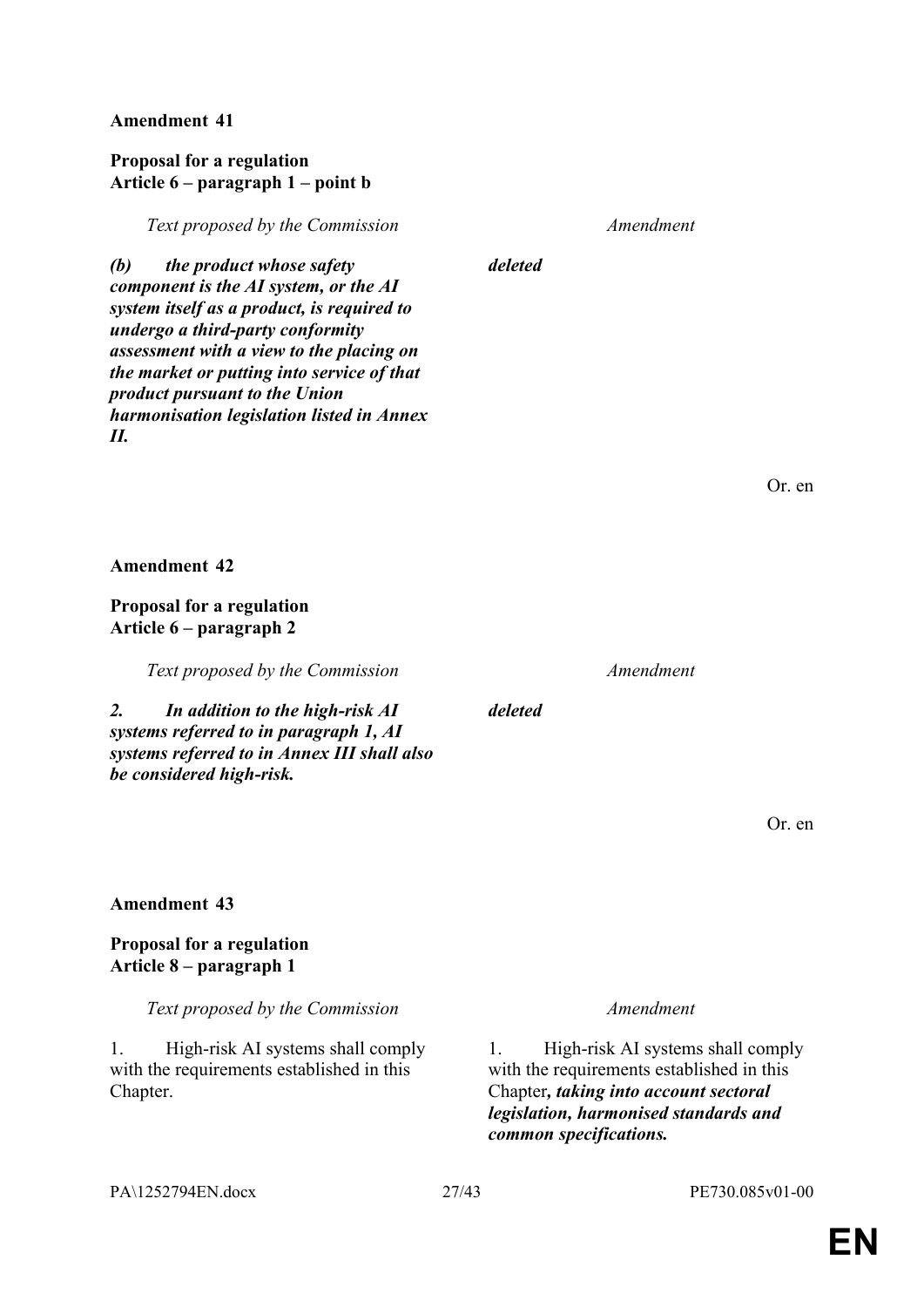### **Proposal for a regulation Article 6 – paragraph 1 – point b**

*Text proposed by the Commission Amendment*

*(b) the product whose safety component is the AI system, or the AI system itself as a product, is required to undergo a third-party conformity assessment with a view to the placing on the market or putting into service of that product pursuant to the Union harmonisation legislation listed in Annex II.* 

*deleted*

Or. en

**Amendment 42**

**Proposal for a regulation Article 6 – paragraph 2**

*Text proposed by the Commission Amendment*

*2. In addition to the high-risk AI systems referred to in paragraph 1, AI systems referred to in Annex III shall also be considered high-risk.*

**Amendment 43**

**Proposal for a regulation Article 8 – paragraph 1**

*Text proposed by the Commission Amendment*

1. High-risk AI systems shall comply with the requirements established in this Chapter.

### *deleted*

Or. en

1. High-risk AI systems shall comply with the requirements established in this Chapter*, taking into account sectoral legislation, harmonised standards and common specifications.*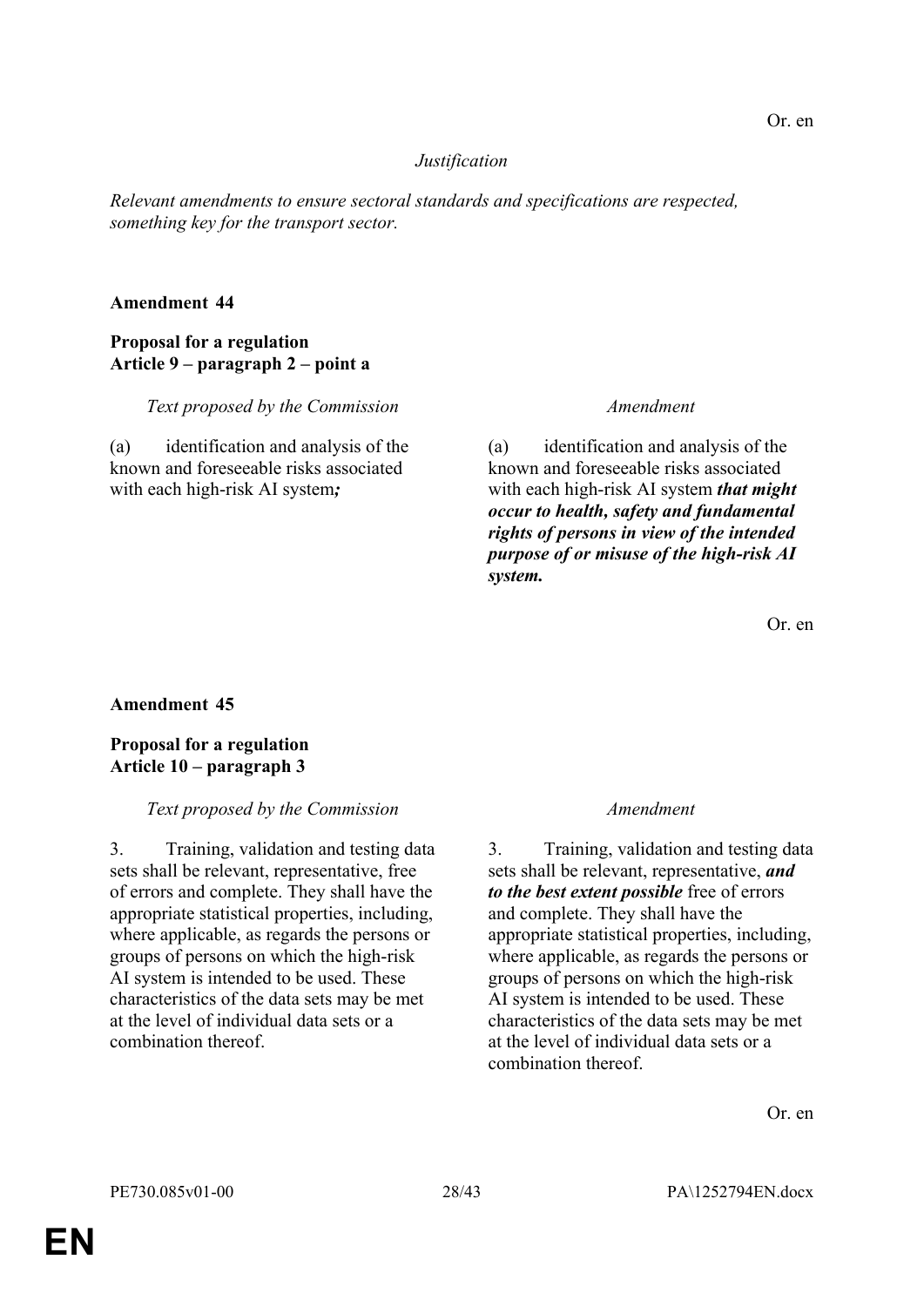### *Justification*

*Relevant amendments to ensure sectoral standards and specifications are respected, something key for the transport sector.*

#### **Amendment 44**

### **Proposal for a regulation Article 9 – paragraph 2 – point a**

*Text proposed by the Commission Amendment*

(a) identification and analysis of the known and foreseeable risks associated with each high-risk AI system*;*

(a) identification and analysis of the known and foreseeable risks associated with each high-risk AI system *that might occur to health, safety and fundamental rights of persons in view of the intended purpose of or misuse of the high-risk AI system.*

Or. en

#### **Amendment 45**

### **Proposal for a regulation Article 10 – paragraph 3**

#### *Text proposed by the Commission Amendment*

3. Training, validation and testing data sets shall be relevant, representative, free of errors and complete. They shall have the appropriate statistical properties, including, where applicable, as regards the persons or groups of persons on which the high-risk AI system is intended to be used. These characteristics of the data sets may be met at the level of individual data sets or a combination thereof.

3. Training, validation and testing data sets shall be relevant, representative, *and to the best extent possible* free of errors and complete. They shall have the appropriate statistical properties, including, where applicable, as regards the persons or groups of persons on which the high-risk AI system is intended to be used. These characteristics of the data sets may be met at the level of individual data sets or a combination thereof.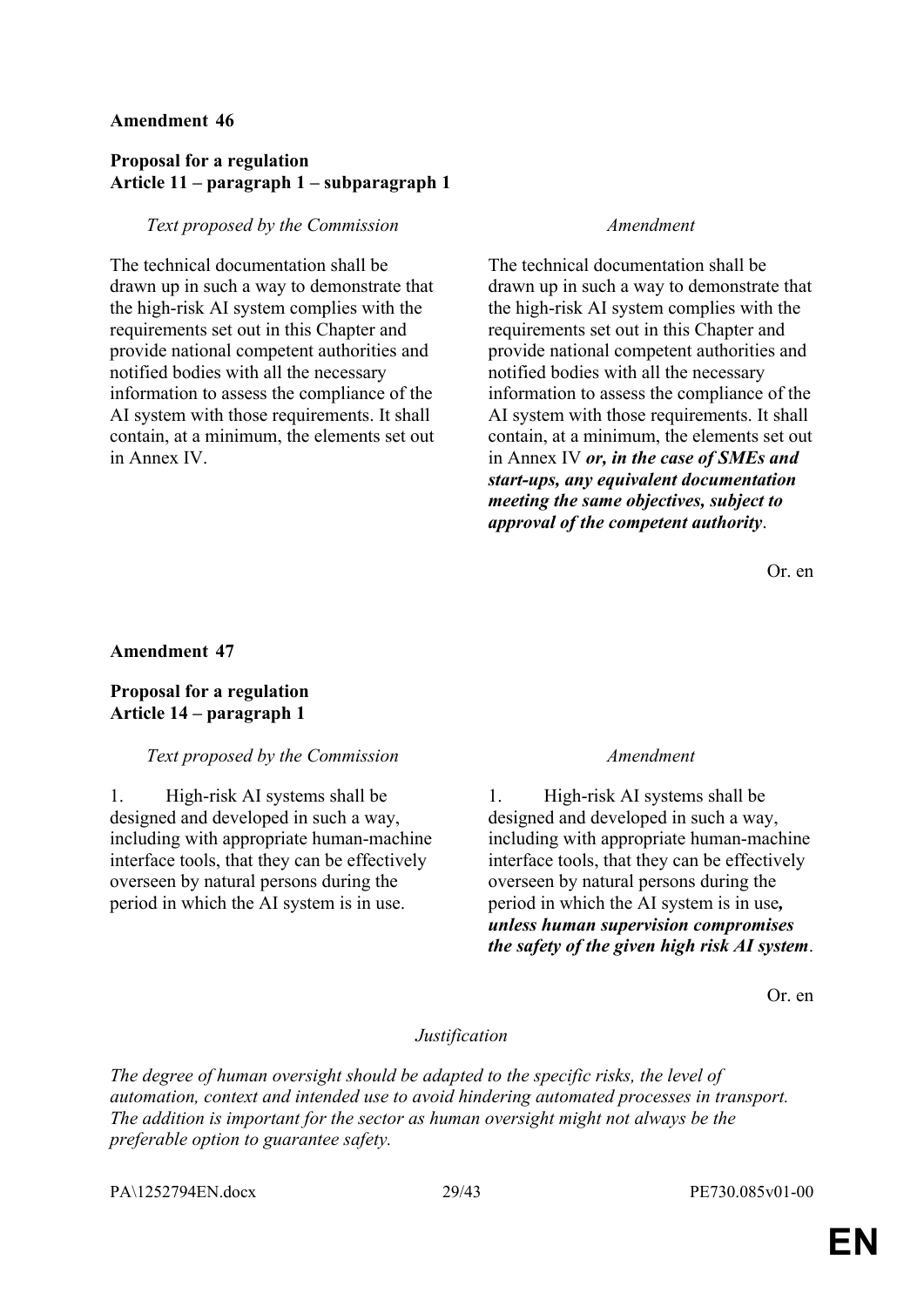### **Proposal for a regulation Article 11 – paragraph 1 – subparagraph 1**

#### *Text proposed by the Commission Amendment*

The technical documentation shall be drawn up in such a way to demonstrate that the high-risk AI system complies with the requirements set out in this Chapter and provide national competent authorities and notified bodies with all the necessary information to assess the compliance of the AI system with those requirements. It shall contain, at a minimum, the elements set out in Annex IV.

The technical documentation shall be drawn up in such a way to demonstrate that the high-risk AI system complies with the requirements set out in this Chapter and provide national competent authorities and notified bodies with all the necessary information to assess the compliance of the AI system with those requirements. It shall contain, at a minimum, the elements set out in Annex IV *or, in the case of SMEs and start-ups, any equivalent documentation meeting the same objectives, subject to approval of the competent authority*.

Or. en

#### **Amendment 47**

#### **Proposal for a regulation Article 14 – paragraph 1**

#### *Text proposed by the Commission Amendment*

1. High-risk AI systems shall be designed and developed in such a way, including with appropriate human-machine interface tools, that they can be effectively overseen by natural persons during the period in which the AI system is in use.

1. High-risk AI systems shall be designed and developed in such a way, including with appropriate human-machine interface tools, that they can be effectively overseen by natural persons during the period in which the AI system is in use*, unless human supervision compromises the safety of the given high risk AI system*.

Or. en

#### *Justification*

*The degree of human oversight should be adapted to the specific risks, the level of automation, context and intended use to avoid hindering automated processes in transport. The addition is important for the sector as human oversight might not always be the preferable option to guarantee safety.*

PA\1252794EN.docx 29/43 PE730.085v01-00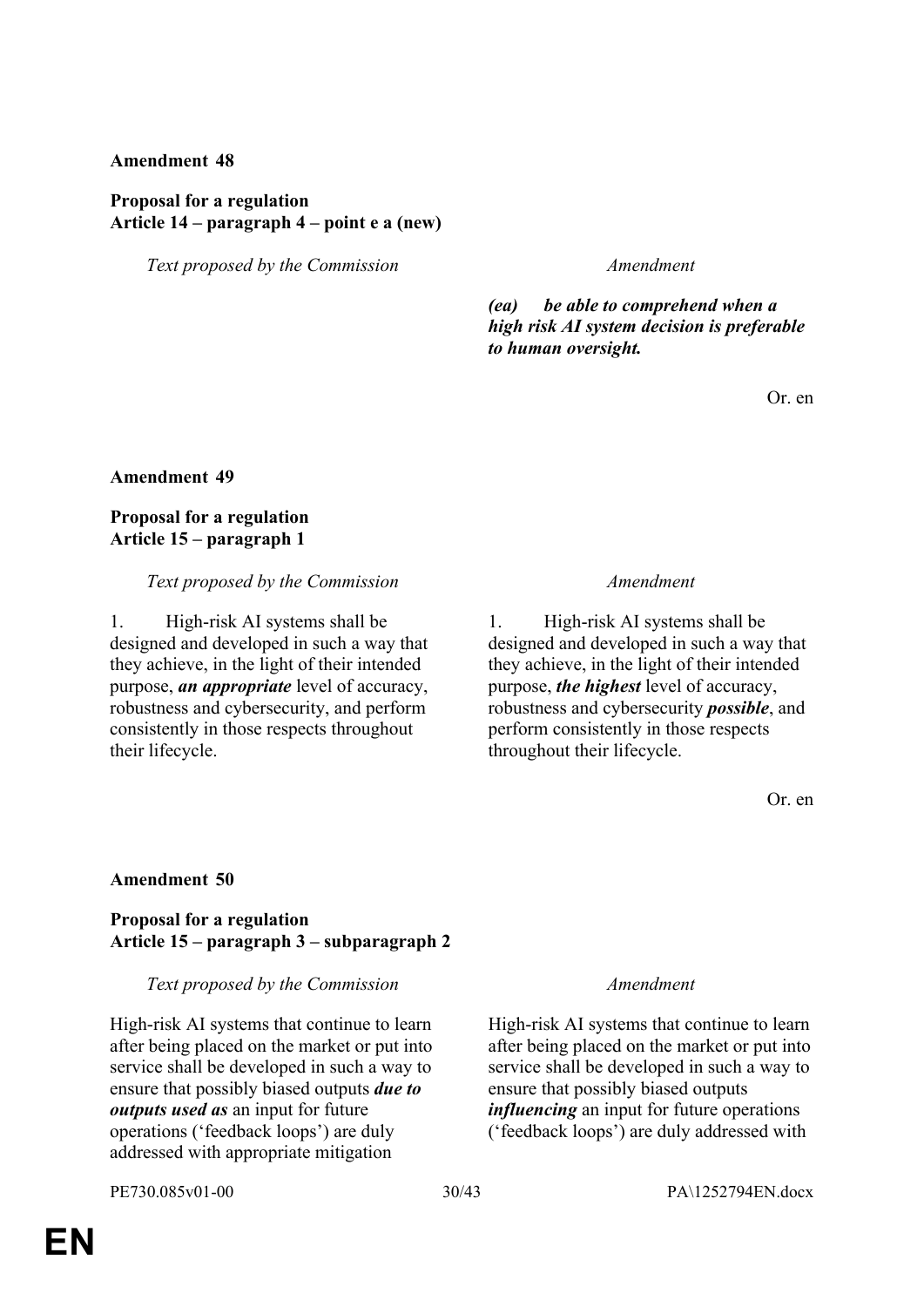### **Proposal for a regulation Article 14 – paragraph 4 – point e a (new)**

*Text proposed by the Commission Amendment*

*(ea) be able to comprehend when a high risk AI system decision is preferable to human oversight.*

Or. en

#### **Amendment 49**

### **Proposal for a regulation Article 15 – paragraph 1**

#### *Text proposed by the Commission Amendment*

1. High-risk AI systems shall be designed and developed in such a way that they achieve, in the light of their intended purpose, *an appropriate* level of accuracy, robustness and cybersecurity, and perform consistently in those respects throughout their lifecycle.

1. High-risk AI systems shall be designed and developed in such a way that they achieve, in the light of their intended purpose, *the highest* level of accuracy, robustness and cybersecurity *possible*, and perform consistently in those respects throughout their lifecycle.

Or. en

#### **Amendment 50**

### **Proposal for a regulation Article 15 – paragraph 3 – subparagraph 2**

#### *Text proposed by the Commission Amendment*

High-risk AI systems that continue to learn after being placed on the market or put into service shall be developed in such a way to ensure that possibly biased outputs *due to outputs used as* an input for future operations ('feedback loops') are duly addressed with appropriate mitigation

High-risk AI systems that continue to learn after being placed on the market or put into service shall be developed in such a way to ensure that possibly biased outputs *influencing* an input for future operations ('feedback loops') are duly addressed with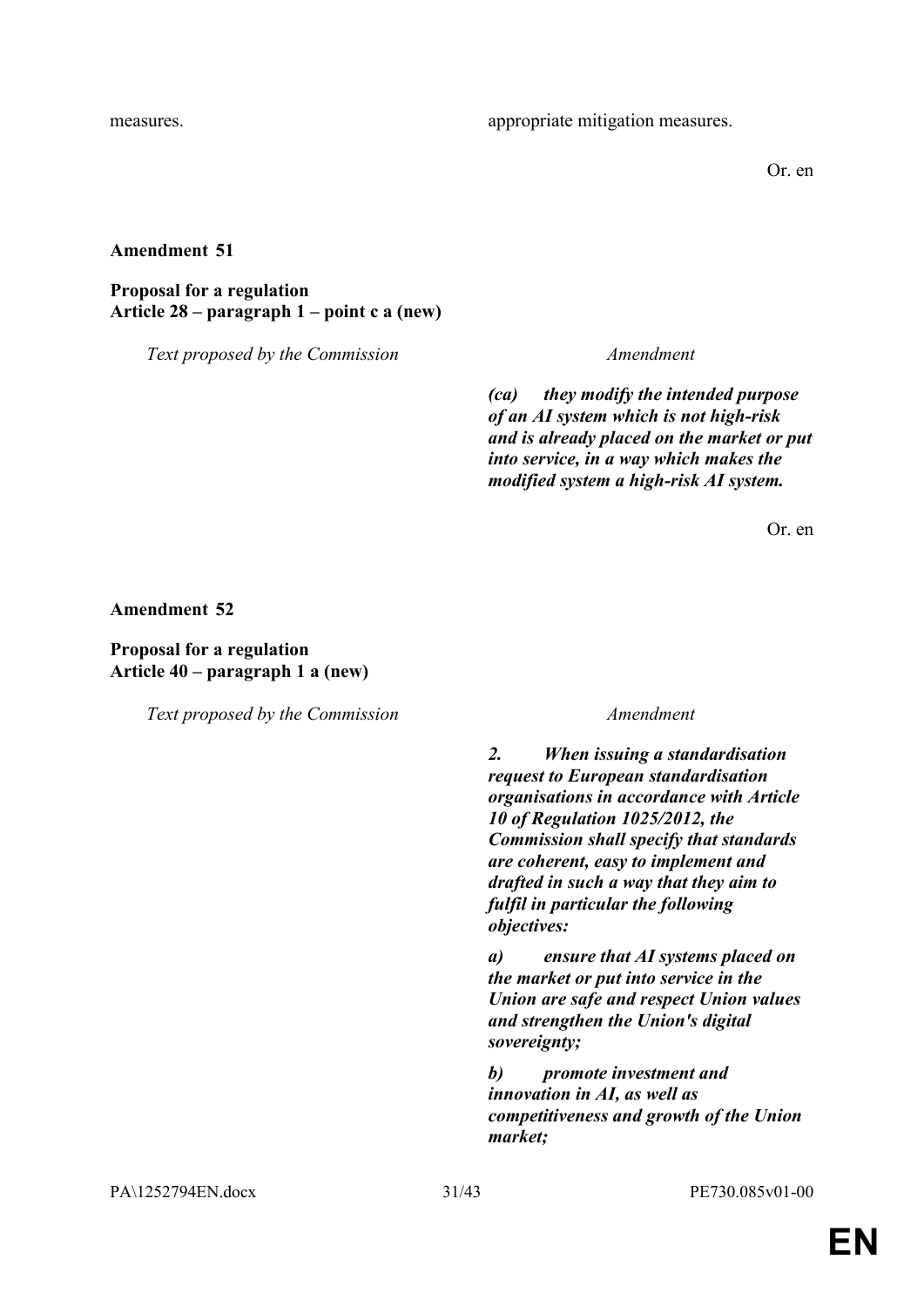Or. en

#### **Amendment 51**

**Proposal for a regulation Article 28 – paragraph 1 – point c a (new)**

*Text proposed by the Commission Amendment*

*(ca) they modify the intended purpose of an AI system which is not high-risk and is already placed on the market or put into service, in a way which makes the modified system a high-risk AI system.*

Or. en

**Amendment 52**

### **Proposal for a regulation Article 40 – paragraph 1 a (new)**

*Text proposed by the Commission Amendment*

*2. When issuing a standardisation request to European standardisation organisations in accordance with Article 10 of Regulation 1025/2012, the Commission shall specify that standards are coherent, easy to implement and drafted in such a way that they aim to fulfil in particular the following objectives:*

*a) ensure that AI systems placed on the market or put into service in the Union are safe and respect Union values and strengthen the Union's digital sovereignty;*

*b) promote investment and innovation in AI, as well as competitiveness and growth of the Union market;*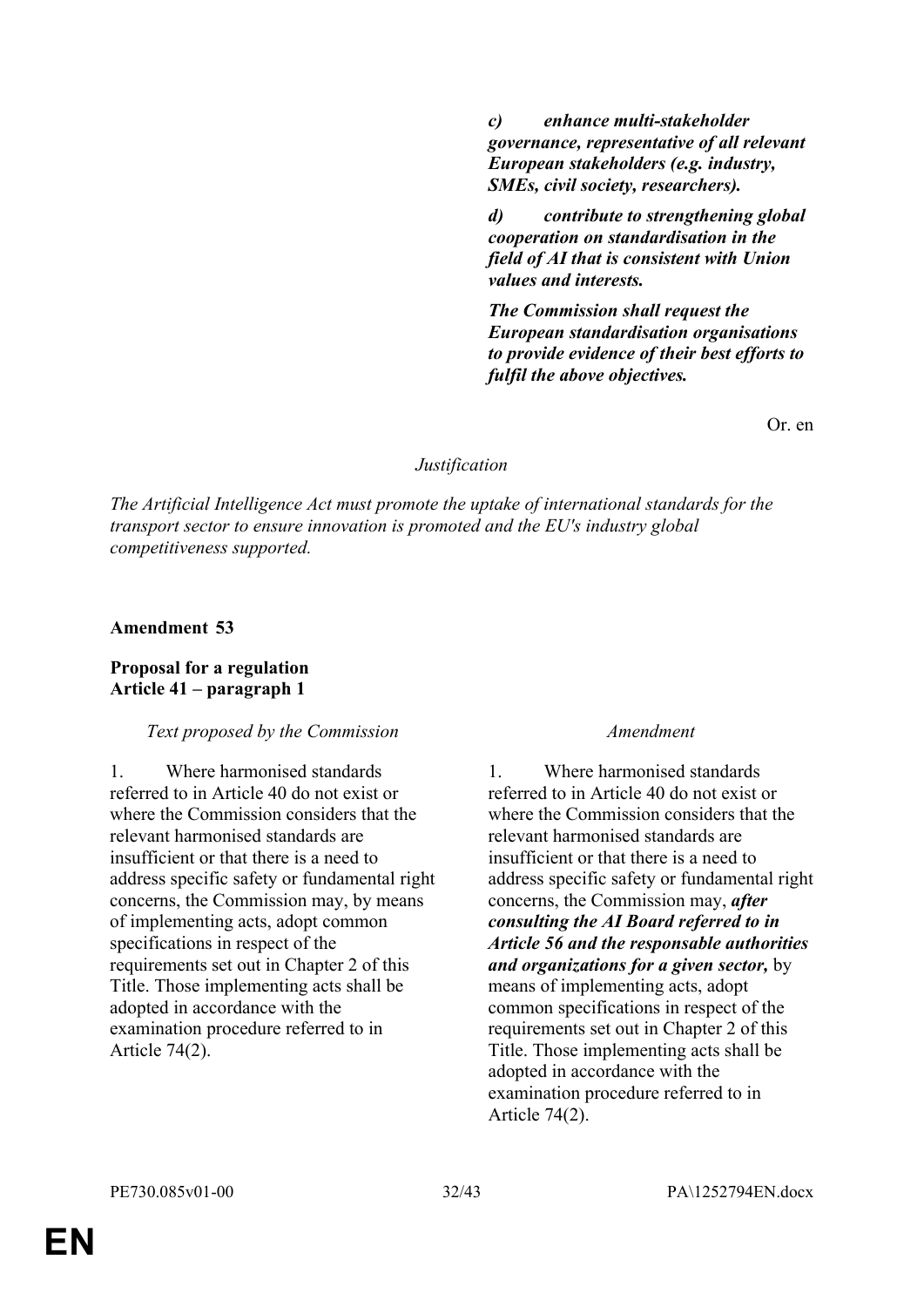*c) enhance multi-stakeholder governance, representative of all relevant European stakeholders (e.g. industry, SMEs, civil society, researchers).*

*d) contribute to strengthening global cooperation on standardisation in the field of AI that is consistent with Union values and interests.*

*The Commission shall request the European standardisation organisations to provide evidence of their best efforts to fulfil the above objectives.*

Or. en

#### *Justification*

*The Artificial Intelligence Act must promote the uptake of international standards for the transport sector to ensure innovation is promoted and the EU's industry global competitiveness supported.*

**Amendment 53**

#### **Proposal for a regulation Article 41 – paragraph 1**

#### *Text proposed by the Commission Amendment*

1. Where harmonised standards referred to in Article 40 do not exist or where the Commission considers that the relevant harmonised standards are insufficient or that there is a need to address specific safety or fundamental right concerns, the Commission may, by means of implementing acts, adopt common specifications in respect of the requirements set out in Chapter 2 of this Title. Those implementing acts shall be adopted in accordance with the examination procedure referred to in Article 74(2).

1. Where harmonised standards referred to in Article 40 do not exist or where the Commission considers that the relevant harmonised standards are insufficient or that there is a need to address specific safety or fundamental right concerns, the Commission may, *after consulting the AI Board referred to in Article 56 and the responsable authorities and organizations for a given sector,* by means of implementing acts, adopt common specifications in respect of the requirements set out in Chapter 2 of this Title. Those implementing acts shall be adopted in accordance with the examination procedure referred to in Article 74(2).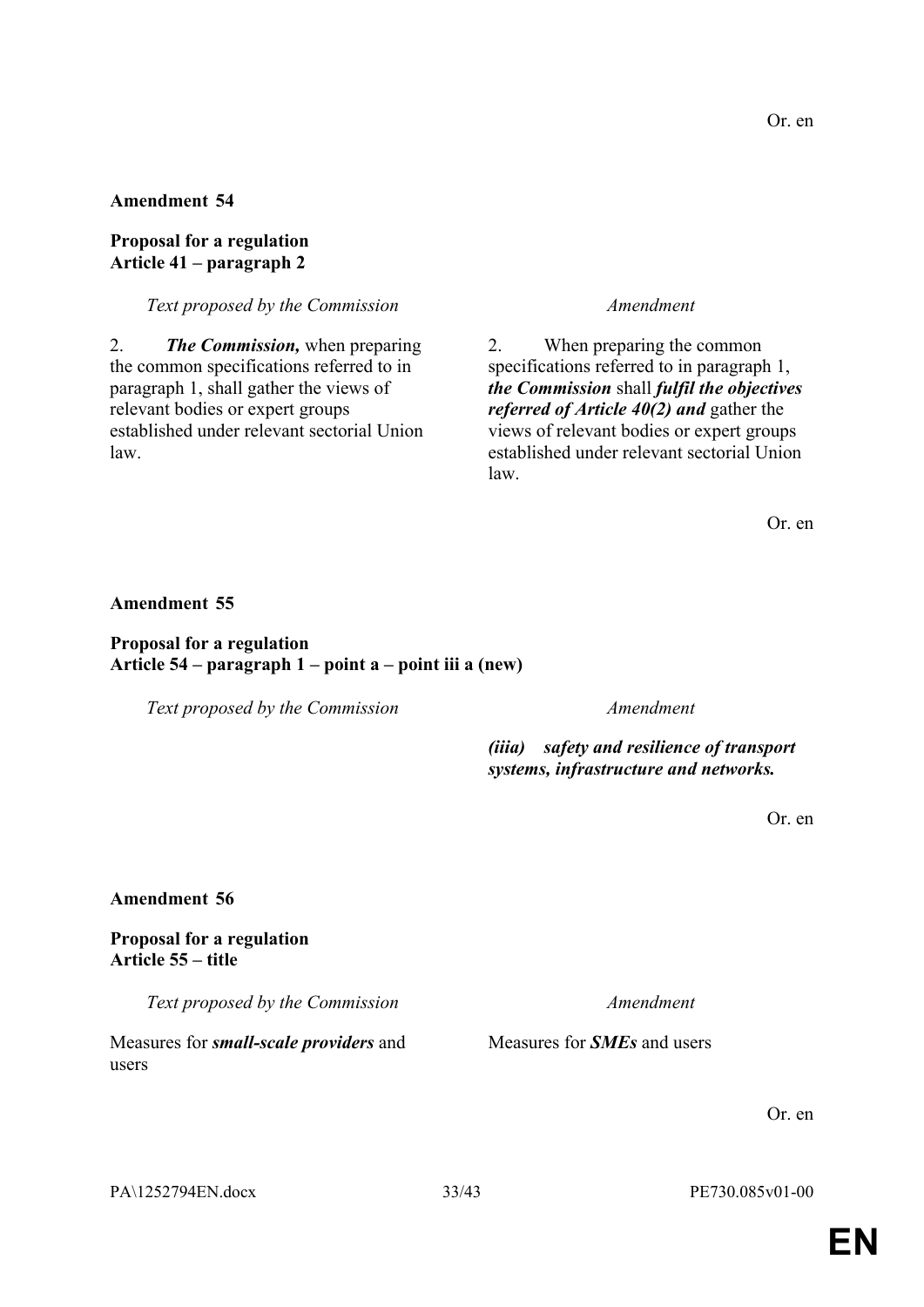### **Proposal for a regulation Article 41 – paragraph 2**

### *Text proposed by the Commission Amendment*

2. *The Commission,* when preparing the common specifications referred to in paragraph 1, shall gather the views of relevant bodies or expert groups established under relevant sectorial Union law.

2. When preparing the common specifications referred to in paragraph 1, *the Commission* shall *fulfil the objectives referred of Article 40(2) and* gather the views of relevant bodies or expert groups established under relevant sectorial Union law.

Or. en

#### **Amendment 55**

#### **Proposal for a regulation Article 54 – paragraph 1 – point a – point iii a (new)**

*Text proposed by the Commission Amendment*

*(iiia) safety and resilience of transport systems, infrastructure and networks.*

Measures for *SMEs* and users

Or. en

#### **Amendment 56**

#### **Proposal for a regulation Article 55 – title**

*Text proposed by the Commission Amendment*

Measures for *small-scale providers* and users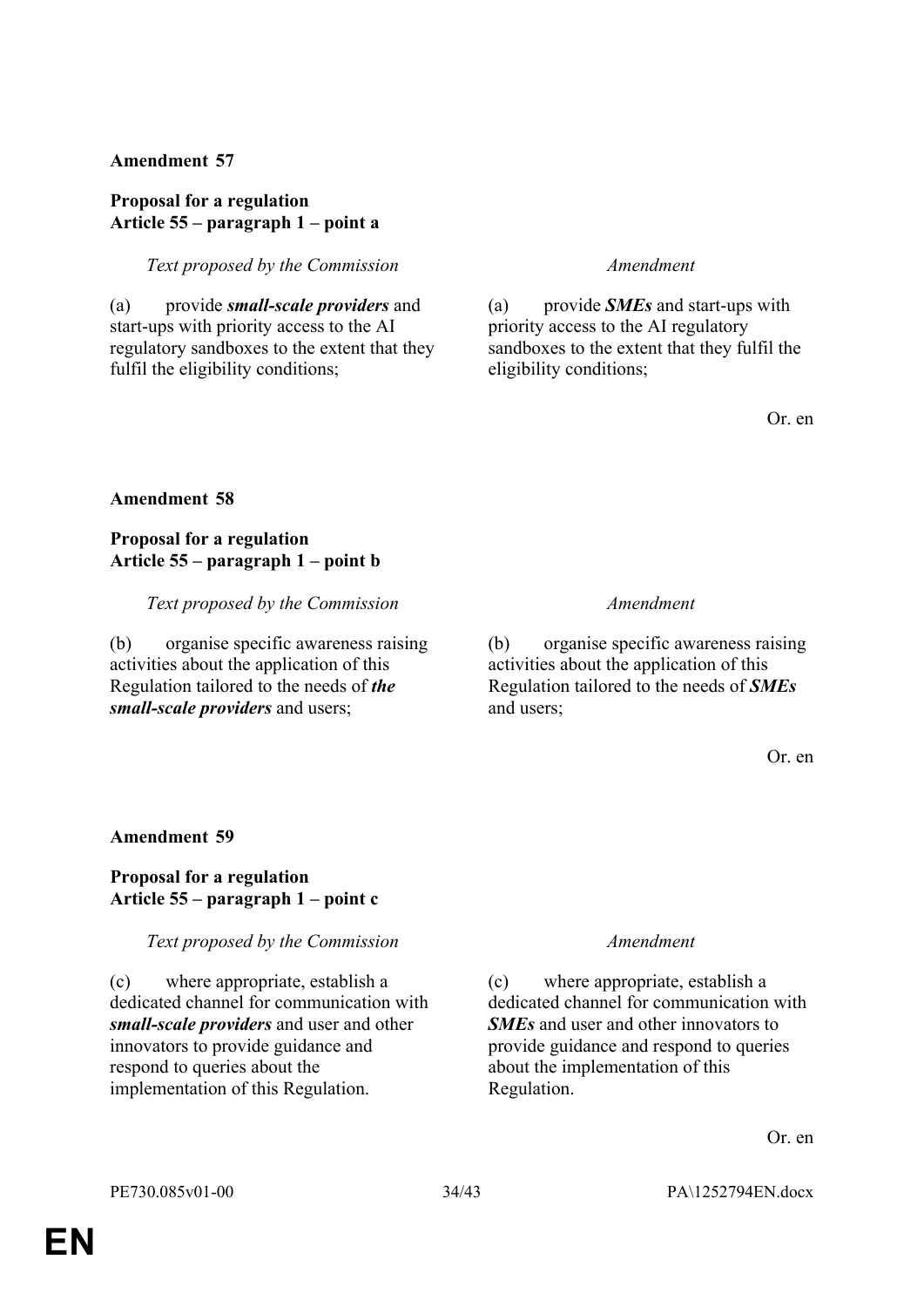### **Proposal for a regulation Article 55 – paragraph 1 – point a**

*Text proposed by the Commission Amendment*

(a) provide *small-scale providers* and start-ups with priority access to the AI regulatory sandboxes to the extent that they fulfil the eligibility conditions;

(a) provide *SMEs* and start-ups with priority access to the AI regulatory sandboxes to the extent that they fulfil the eligibility conditions;

Or. en

#### **Amendment 58**

### **Proposal for a regulation Article 55 – paragraph 1 – point b**

*Text proposed by the Commission Amendment*

(b) organise specific awareness raising activities about the application of this Regulation tailored to the needs of *the small-scale providers* and users;

(b) organise specific awareness raising activities about the application of this Regulation tailored to the needs of *SMEs* and users;

Or. en

#### **Amendment 59**

### **Proposal for a regulation Article 55 – paragraph 1 – point c**

#### *Text proposed by the Commission Amendment*

(c) where appropriate, establish a dedicated channel for communication with *small-scale providers* and user and other innovators to provide guidance and respond to queries about the implementation of this Regulation.

(c) where appropriate, establish a dedicated channel for communication with *SMEs* and user and other innovators to provide guidance and respond to queries about the implementation of this Regulation.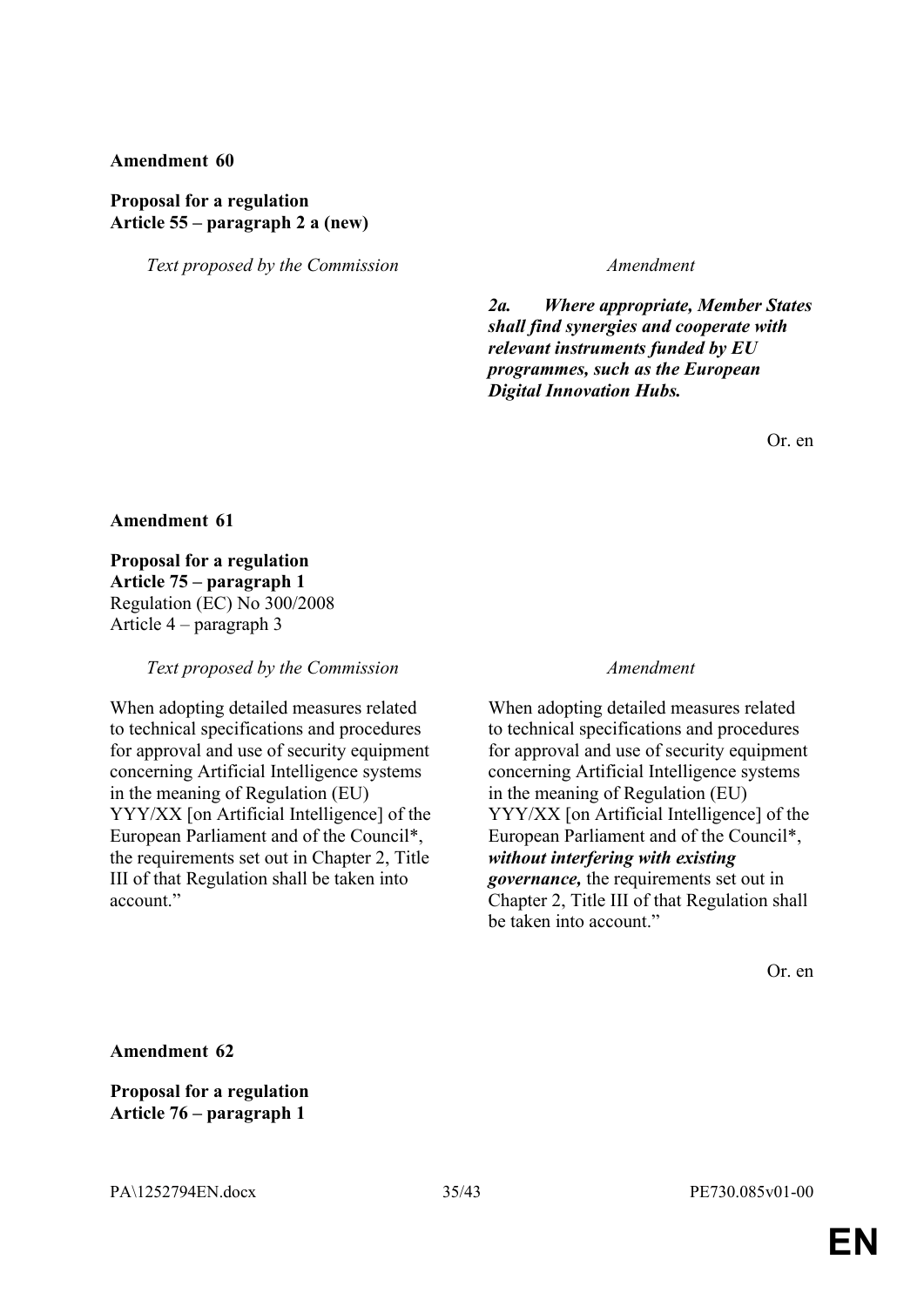#### **Proposal for a regulation Article 55 – paragraph 2 a (new)**

*Text proposed by the Commission Amendment*

*2a. Where appropriate, Member States shall find synergies and cooperate with relevant instruments funded by EU programmes, such as the European Digital Innovation Hubs.*

Or. en

**Amendment 61**

**Proposal for a regulation Article 75 – paragraph 1** Regulation (EC) No 300/2008 Article 4 – paragraph 3

*Text proposed by the Commission Amendment*

When adopting detailed measures related to technical specifications and procedures for approval and use of security equipment concerning Artificial Intelligence systems in the meaning of Regulation (EU) YYY/XX [on Artificial Intelligence] of the European Parliament and of the Council\*, the requirements set out in Chapter 2, Title III of that Regulation shall be taken into account."

When adopting detailed measures related to technical specifications and procedures for approval and use of security equipment concerning Artificial Intelligence systems in the meaning of Regulation (EU) YYY/XX [on Artificial Intelligence] of the European Parliament and of the Council\*, *without interfering with existing governance,* the requirements set out in Chapter 2, Title III of that Regulation shall be taken into account."

Or. en

**Amendment 62**

**Proposal for a regulation Article 76 – paragraph 1**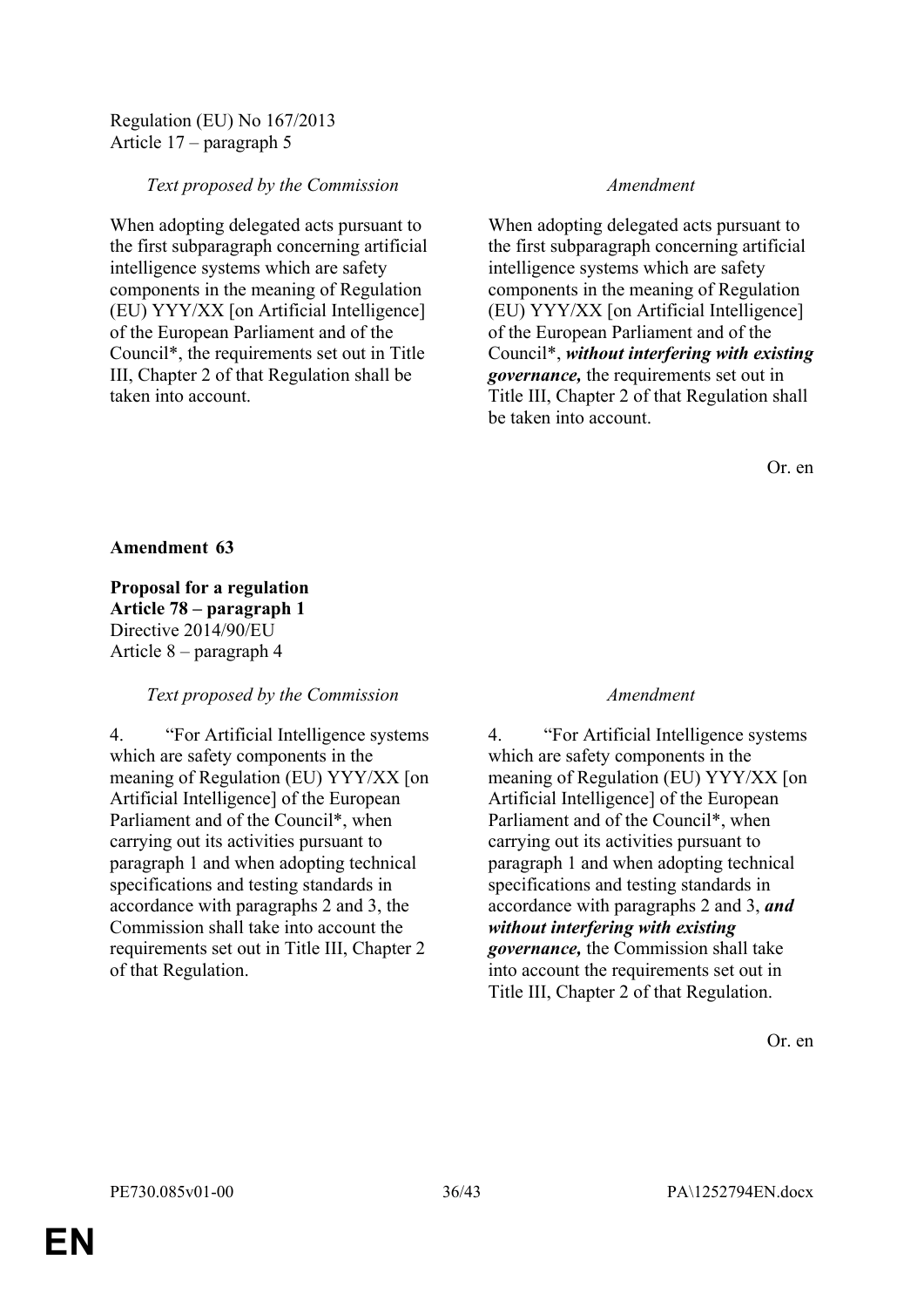Regulation (EU) No 167/2013 Article 17 – paragraph 5

### *Text proposed by the Commission Amendment*

When adopting delegated acts pursuant to the first subparagraph concerning artificial intelligence systems which are safety components in the meaning of Regulation (EU) YYY/XX [on Artificial Intelligence] of the European Parliament and of the Council\*, the requirements set out in Title III, Chapter 2 of that Regulation shall be taken into account.

When adopting delegated acts pursuant to the first subparagraph concerning artificial intelligence systems which are safety components in the meaning of Regulation (EU) YYY/XX [on Artificial Intelligence] of the European Parliament and of the Council\*, *without interfering with existing governance,* the requirements set out in Title III, Chapter 2 of that Regulation shall be taken into account.

Or. en

#### **Amendment 63**

**Proposal for a regulation Article 78 – paragraph 1** Directive 2014/90/EU Article 8 – paragraph 4

### *Text proposed by the Commission Amendment*

4. "For Artificial Intelligence systems which are safety components in the meaning of Regulation (EU) YYY/XX [on Artificial Intelligence] of the European Parliament and of the Council\*, when carrying out its activities pursuant to paragraph 1 and when adopting technical specifications and testing standards in accordance with paragraphs 2 and 3, the Commission shall take into account the requirements set out in Title III, Chapter 2 of that Regulation.

4. "For Artificial Intelligence systems which are safety components in the meaning of Regulation (EU) YYY/XX [on Artificial Intelligence] of the European Parliament and of the Council\*, when carrying out its activities pursuant to paragraph 1 and when adopting technical specifications and testing standards in accordance with paragraphs 2 and 3, *and without interfering with existing governance,* the Commission shall take into account the requirements set out in Title III, Chapter 2 of that Regulation.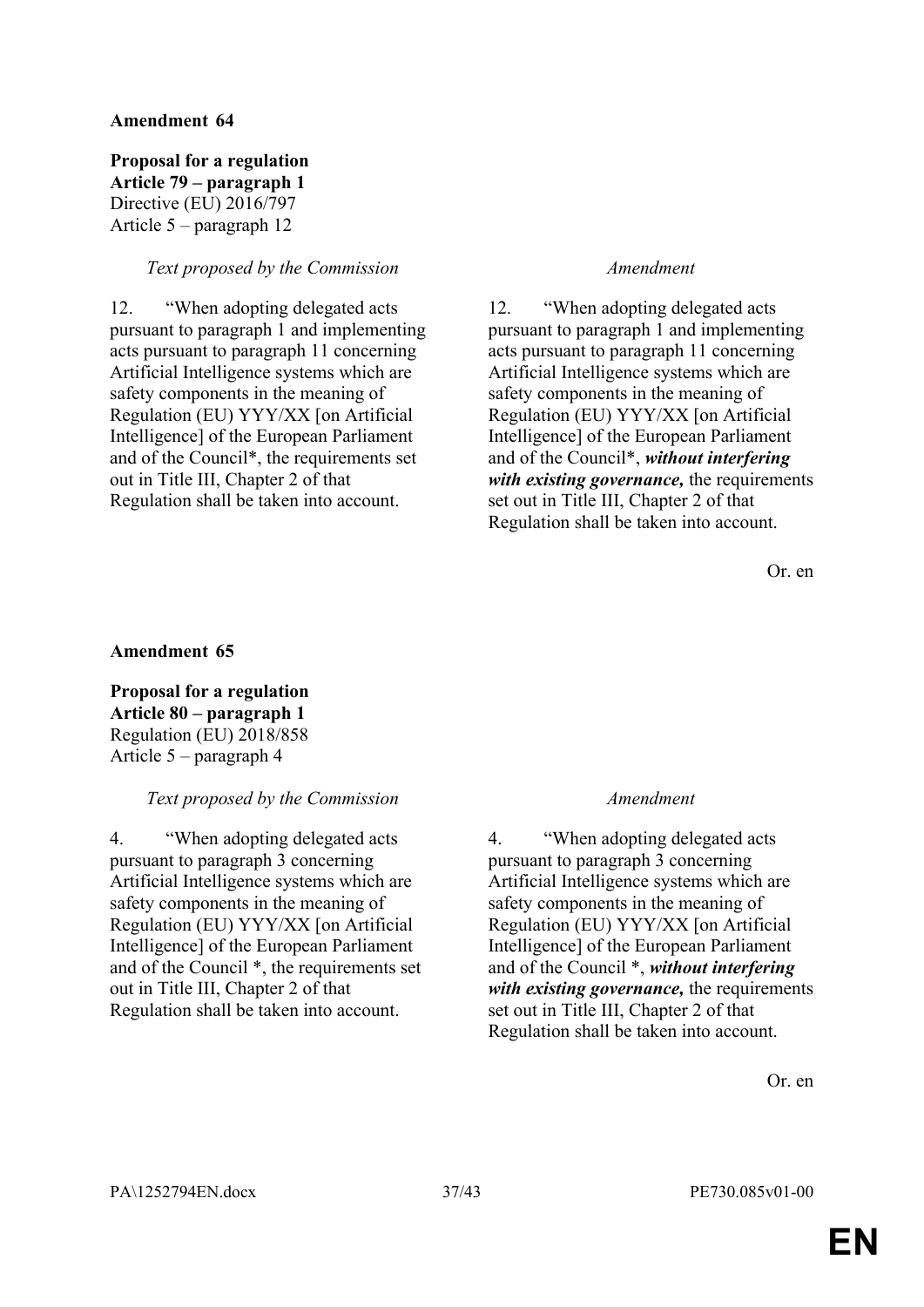**Proposal for a regulation Article 79 – paragraph 1** Directive (EU) 2016/797 Article 5 – paragraph 12

#### *Text proposed by the Commission Amendment*

12. "When adopting delegated acts pursuant to paragraph 1 and implementing acts pursuant to paragraph 11 concerning Artificial Intelligence systems which are safety components in the meaning of Regulation (EU) YYY/XX [on Artificial Intelligence] of the European Parliament and of the Council\*, the requirements set out in Title III, Chapter 2 of that Regulation shall be taken into account.

12. "When adopting delegated acts pursuant to paragraph 1 and implementing acts pursuant to paragraph 11 concerning Artificial Intelligence systems which are safety components in the meaning of Regulation (EU) YYY/XX [on Artificial Intelligence] of the European Parliament and of the Council\*, *without interfering with existing governance,* the requirements set out in Title III, Chapter 2 of that Regulation shall be taken into account.

Or. en

### **Amendment 65**

**Proposal for a regulation Article 80 – paragraph 1** Regulation (EU) 2018/858 Article 5 – paragraph 4

#### *Text proposed by the Commission Amendment*

4. "When adopting delegated acts pursuant to paragraph 3 concerning Artificial Intelligence systems which are safety components in the meaning of Regulation (EU) YYY/XX [on Artificial Intelligence] of the European Parliament and of the Council \*, the requirements set out in Title III, Chapter 2 of that Regulation shall be taken into account.

4. "When adopting delegated acts pursuant to paragraph 3 concerning Artificial Intelligence systems which are safety components in the meaning of Regulation (EU) YYY/XX [on Artificial Intelligence] of the European Parliament and of the Council \*, *without interfering with existing governance,* the requirements set out in Title III, Chapter 2 of that Regulation shall be taken into account.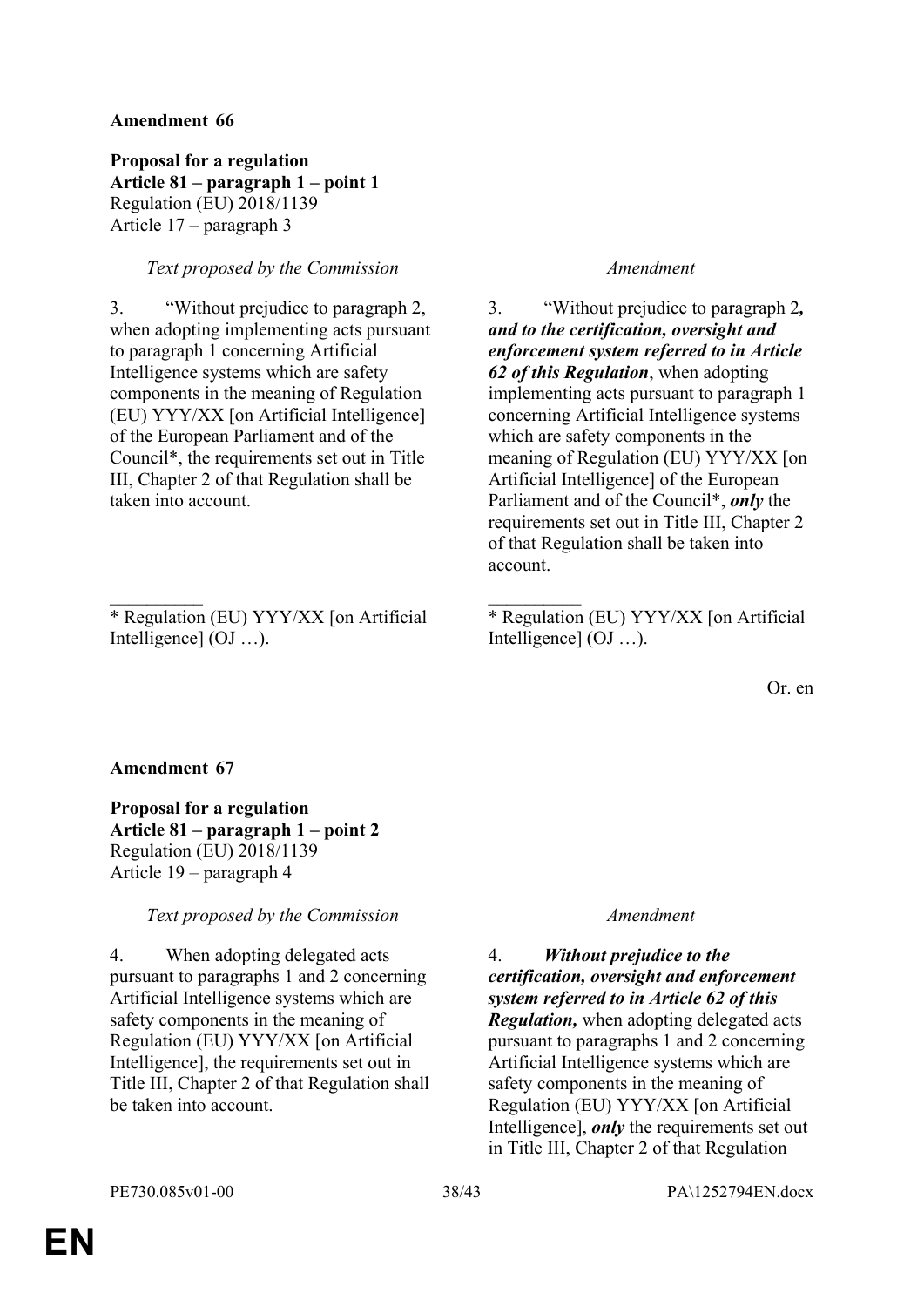**Proposal for a regulation Article 81 – paragraph 1 – point 1** Regulation (EU) 2018/1139 Article 17 – paragraph 3

### *Text proposed by the Commission Amendment*

3. "Without prejudice to paragraph 2, when adopting implementing acts pursuant to paragraph 1 concerning Artificial Intelligence systems which are safety components in the meaning of Regulation (EU) YYY/XX [on Artificial Intelligence] of the European Parliament and of the Council\*, the requirements set out in Title III, Chapter 2 of that Regulation shall be taken into account.

\* Regulation (EU) YYY/XX [on Artificial Intelligence] (OJ …).

 $\frac{1}{2}$  ,  $\frac{1}{2}$  ,  $\frac{1}{2}$  ,  $\frac{1}{2}$  ,  $\frac{1}{2}$  ,  $\frac{1}{2}$  ,  $\frac{1}{2}$  ,  $\frac{1}{2}$  ,  $\frac{1}{2}$  ,  $\frac{1}{2}$  ,  $\frac{1}{2}$  ,  $\frac{1}{2}$  ,  $\frac{1}{2}$  ,  $\frac{1}{2}$  ,  $\frac{1}{2}$  ,  $\frac{1}{2}$  ,  $\frac{1}{2}$  ,  $\frac{1}{2}$  ,  $\frac{1$ 

3. "Without prejudice to paragraph 2*, and to the certification, oversight and enforcement system referred to in Article 62 of this Regulation*, when adopting implementing acts pursuant to paragraph 1 concerning Artificial Intelligence systems which are safety components in the meaning of Regulation (EU) YYY/XX [on Artificial Intelligence] of the European Parliament and of the Council\*, *only* the requirements set out in Title III, Chapter 2 of that Regulation shall be taken into account.

\* Regulation (EU) YYY/XX [on Artificial Intelligence] (OJ …).

Or. en

#### **Amendment 67**

**Proposal for a regulation Article 81 – paragraph 1 – point 2** Regulation (EU) 2018/1139 Article 19 – paragraph 4

### *Text proposed by the Commission Amendment*

4. When adopting delegated acts pursuant to paragraphs 1 and 2 concerning Artificial Intelligence systems which are safety components in the meaning of Regulation (EU) YYY/XX [on Artificial Intelligence], the requirements set out in Title III, Chapter 2 of that Regulation shall be taken into account.

4. *Without prejudice to the certification, oversight and enforcement system referred to in Article 62 of this Regulation,* when adopting delegated acts pursuant to paragraphs 1 and 2 concerning Artificial Intelligence systems which are safety components in the meaning of Regulation (EU) YYY/XX [on Artificial Intelligence], *only* the requirements set out in Title III, Chapter 2 of that Regulation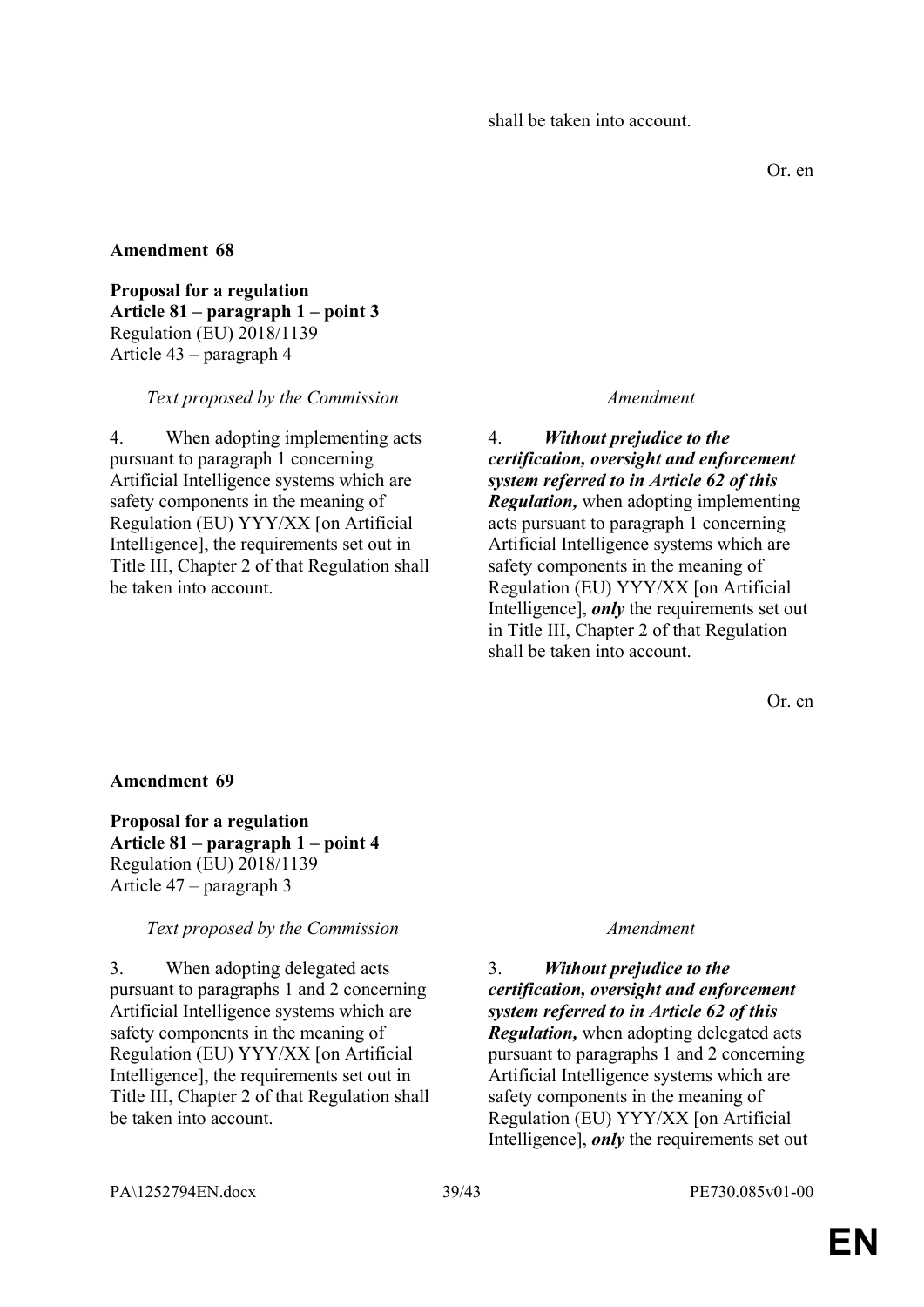Or. en

### **Amendment 68**

**Proposal for a regulation Article 81 – paragraph 1 – point 3** Regulation (EU) 2018/1139 Article 43 – paragraph 4

#### *Text proposed by the Commission Amendment*

4. When adopting implementing acts pursuant to paragraph 1 concerning Artificial Intelligence systems which are safety components in the meaning of Regulation (EU) YYY/XX [on Artificial Intelligence], the requirements set out in Title III, Chapter 2 of that Regulation shall be taken into account.

4. *Without prejudice to the certification, oversight and enforcement system referred to in Article 62 of this Regulation,* when adopting implementing acts pursuant to paragraph 1 concerning Artificial Intelligence systems which are safety components in the meaning of Regulation (EU) YYY/XX [on Artificial Intelligence], *only* the requirements set out in Title III, Chapter 2 of that Regulation shall be taken into account.

Or. en

### **Amendment 69**

**Proposal for a regulation Article 81 – paragraph 1 – point 4** Regulation (EU) 2018/1139 Article 47 – paragraph 3

*Text proposed by the Commission Amendment*

3. When adopting delegated acts pursuant to paragraphs 1 and 2 concerning Artificial Intelligence systems which are safety components in the meaning of Regulation (EU) YYY/XX [on Artificial Intelligence], the requirements set out in Title III, Chapter 2 of that Regulation shall be taken into account.

3. *Without prejudice to the certification, oversight and enforcement system referred to in Article 62 of this Regulation,* when adopting delegated acts pursuant to paragraphs 1 and 2 concerning Artificial Intelligence systems which are safety components in the meaning of Regulation (EU) YYY/XX [on Artificial Intelligence], *only* the requirements set out

PA\1252794EN.docx 39/43 PE730.085v01-00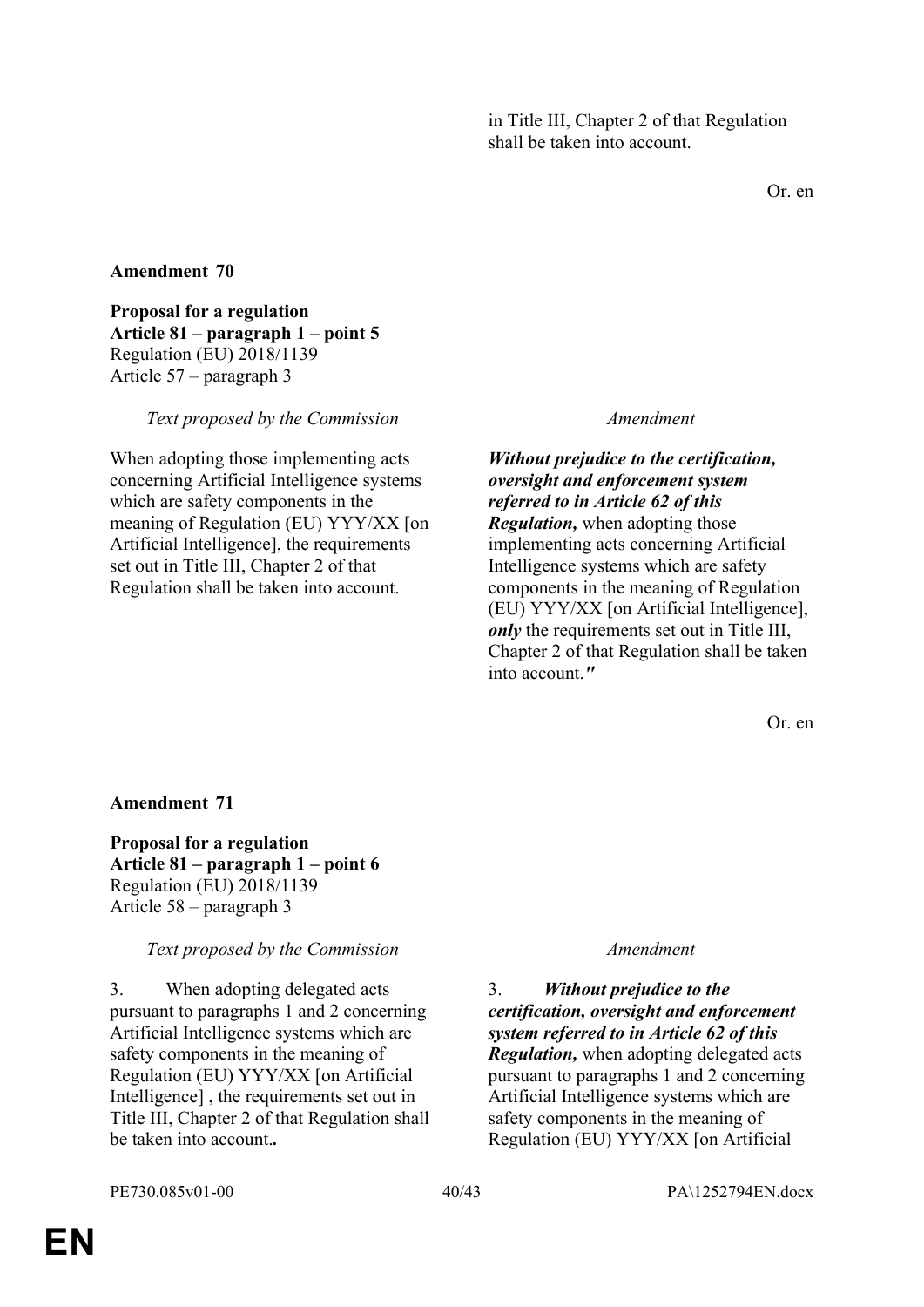Or. en

### **Amendment 70**

**Proposal for a regulation Article 81 – paragraph 1 – point 5** Regulation (EU) 2018/1139 Article 57 – paragraph 3

#### *Text proposed by the Commission Amendment*

When adopting those implementing acts concerning Artificial Intelligence systems which are safety components in the meaning of Regulation (EU) YYY/XX [on Artificial Intelligence], the requirements set out in Title III, Chapter 2 of that Regulation shall be taken into account.

### *Without prejudice to the certification, oversight and enforcement system referred to in Article 62 of this*

*Regulation,* when adopting those implementing acts concerning Artificial Intelligence systems which are safety components in the meaning of Regulation (EU) YYY/XX [on Artificial Intelligence], *only* the requirements set out in Title III, Chapter 2 of that Regulation shall be taken into account.*"*

Or. en

#### **Amendment 71**

**Proposal for a regulation Article 81 – paragraph 1 – point 6** Regulation (EU) 2018/1139 Article 58 – paragraph 3

*Text proposed by the Commission Amendment*

3. When adopting delegated acts pursuant to paragraphs 1 and 2 concerning Artificial Intelligence systems which are safety components in the meaning of Regulation (EU) YYY/XX [on Artificial Intelligence] , the requirements set out in Title III, Chapter 2 of that Regulation shall be taken into account.*.*

3. *Without prejudice to the certification, oversight and enforcement system referred to in Article 62 of this Regulation,* when adopting delegated acts pursuant to paragraphs 1 and 2 concerning Artificial Intelligence systems which are safety components in the meaning of Regulation (EU) YYY/XX [on Artificial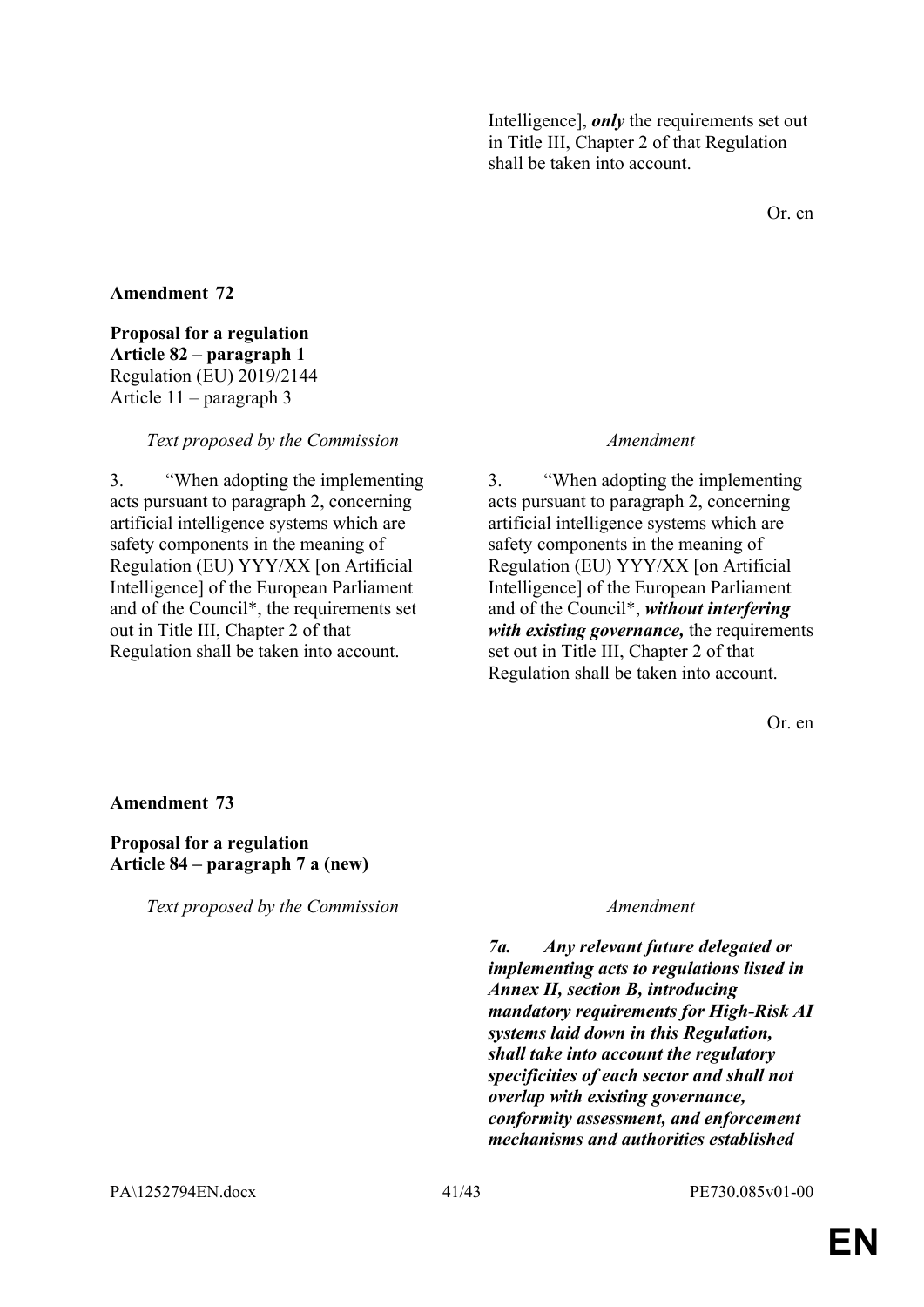Intelligence], *only* the requirements set out in Title III, Chapter 2 of that Regulation shall be taken into account.

Or. en

### **Amendment 72**

**Proposal for a regulation Article 82 – paragraph 1** Regulation (EU) 2019/2144 Article 11 – paragraph 3

*Text proposed by the Commission Amendment*

3. "When adopting the implementing acts pursuant to paragraph 2, concerning artificial intelligence systems which are safety components in the meaning of Regulation (EU) YYY/XX [on Artificial Intelligence] of the European Parliament and of the Council\*, the requirements set out in Title III, Chapter 2 of that Regulation shall be taken into account.

3. "When adopting the implementing acts pursuant to paragraph 2, concerning artificial intelligence systems which are safety components in the meaning of Regulation (EU) YYY/XX [on Artificial Intelligence] of the European Parliament and of the Council\*, *without interfering with existing governance,* the requirements set out in Title III, Chapter 2 of that Regulation shall be taken into account.

Or. en

#### **Amendment 73**

#### **Proposal for a regulation Article 84 – paragraph 7 a (new)**

*Text proposed by the Commission Amendment*

*7a. Any relevant future delegated or implementing acts to regulations listed in Annex II, section B, introducing mandatory requirements for High-Risk AI systems laid down in this Regulation, shall take into account the regulatory specificities of each sector and shall not overlap with existing governance, conformity assessment, and enforcement mechanisms and authorities established* 

PA\1252794EN.docx 41/43 PE730.085v01-00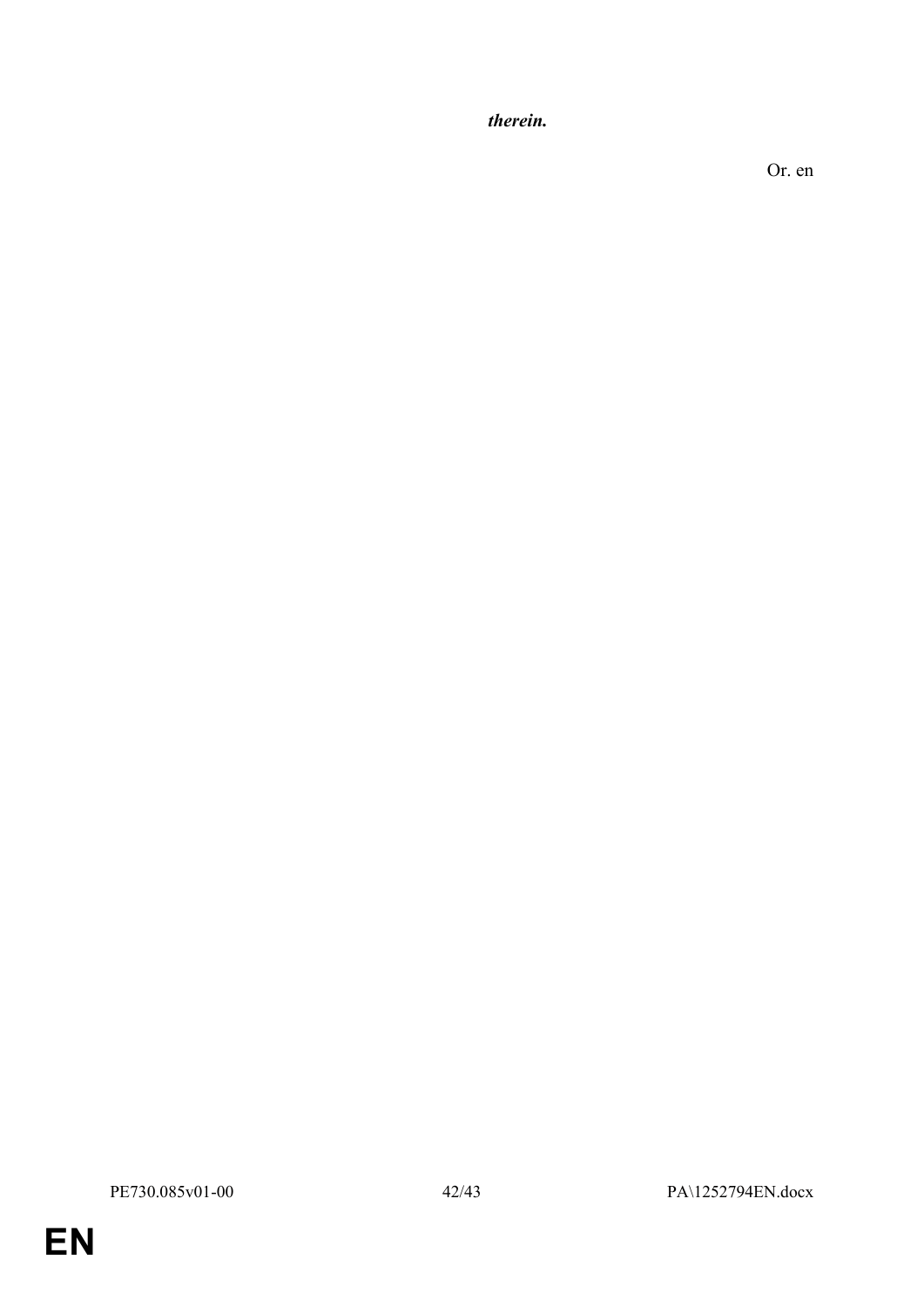*therein.*